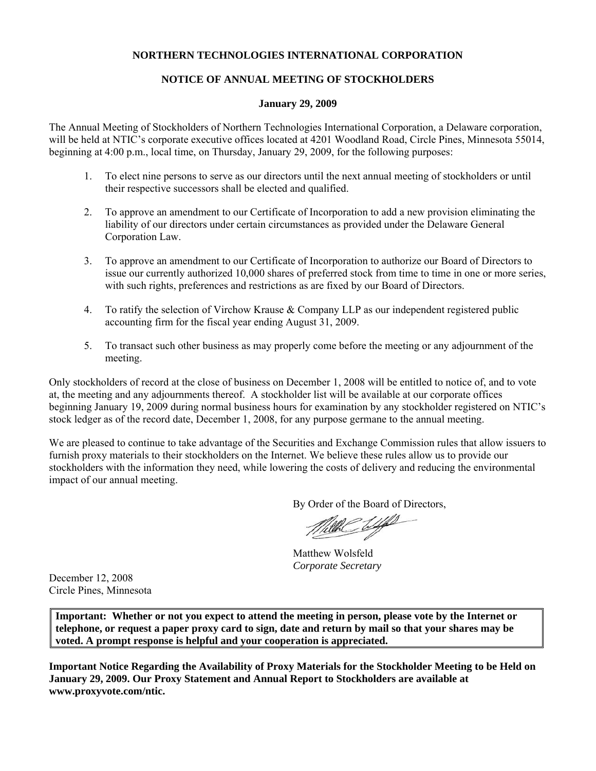# **NORTHERN TECHNOLOGIES INTERNATIONAL CORPORATION**

# **NOTICE OF ANNUAL MEETING OF STOCKHOLDERS**

#### **January 29, 2009**

The Annual Meeting of Stockholders of Northern Technologies International Corporation, a Delaware corporation, will be held at NTIC's corporate executive offices located at 4201 Woodland Road, Circle Pines, Minnesota 55014, beginning at 4:00 p.m., local time, on Thursday, January 29, 2009, for the following purposes:

- 1. To elect nine persons to serve as our directors until the next annual meeting of stockholders or until their respective successors shall be elected and qualified.
- 2. To approve an amendment to our Certificate of Incorporation to add a new provision eliminating the liability of our directors under certain circumstances as provided under the Delaware General Corporation Law.
- 3. To approve an amendment to our Certificate of Incorporation to authorize our Board of Directors to issue our currently authorized 10,000 shares of preferred stock from time to time in one or more series, with such rights, preferences and restrictions as are fixed by our Board of Directors.
- 4. To ratify the selection of Virchow Krause & Company LLP as our independent registered public accounting firm for the fiscal year ending August 31, 2009.
- 5. To transact such other business as may properly come before the meeting or any adjournment of the meeting.

Only stockholders of record at the close of business on December 1, 2008 will be entitled to notice of, and to vote at, the meeting and any adjournments thereof. A stockholder list will be available at our corporate offices beginning January 19, 2009 during normal business hours for examination by any stockholder registered on NTIC's stock ledger as of the record date, December 1, 2008, for any purpose germane to the annual meeting.

We are pleased to continue to take advantage of the Securities and Exchange Commission rules that allow issuers to furnish proxy materials to their stockholders on the Internet. We believe these rules allow us to provide our stockholders with the information they need, while lowering the costs of delivery and reducing the environmental impact of our annual meeting.

By Order of the Board of Directors,

L

Matthew Wolsfeld *Corporate Secretary*

December 12, 2008 Circle Pines, Minnesota

**Important: Whether or not you expect to attend the meeting in person, please vote by the Internet or telephone, or request a paper proxy card to sign, date and return by mail so that your shares may be voted. A prompt response is helpful and your cooperation is appreciated.**

**Important Notice Regarding the Availability of Proxy Materials for the Stockholder Meeting to be Held on January 29, 2009. Our Proxy Statement and Annual Report to Stockholders are available at www.proxyvote.com/ntic.**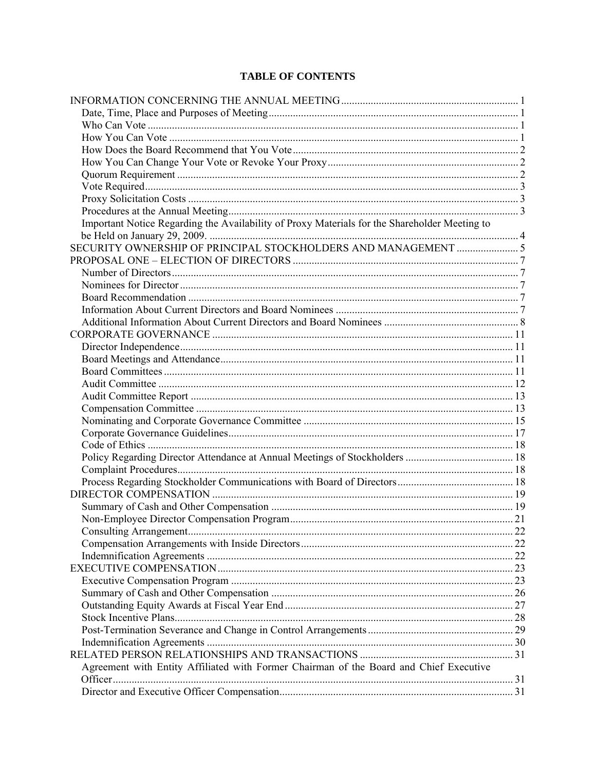# **TABLE OF CONTENTS**

| Important Notice Regarding the Availability of Proxy Materials for the Shareholder Meeting to |  |
|-----------------------------------------------------------------------------------------------|--|
|                                                                                               |  |
|                                                                                               |  |
|                                                                                               |  |
|                                                                                               |  |
|                                                                                               |  |
|                                                                                               |  |
|                                                                                               |  |
|                                                                                               |  |
|                                                                                               |  |
|                                                                                               |  |
|                                                                                               |  |
|                                                                                               |  |
|                                                                                               |  |
|                                                                                               |  |
|                                                                                               |  |
|                                                                                               |  |
|                                                                                               |  |
|                                                                                               |  |
|                                                                                               |  |
|                                                                                               |  |
|                                                                                               |  |
|                                                                                               |  |
|                                                                                               |  |
|                                                                                               |  |
|                                                                                               |  |
|                                                                                               |  |
|                                                                                               |  |
|                                                                                               |  |
|                                                                                               |  |
|                                                                                               |  |
|                                                                                               |  |
|                                                                                               |  |
|                                                                                               |  |
|                                                                                               |  |
|                                                                                               |  |
| Agreement with Entity Affiliated with Former Chairman of the Board and Chief Executive        |  |
|                                                                                               |  |
|                                                                                               |  |
|                                                                                               |  |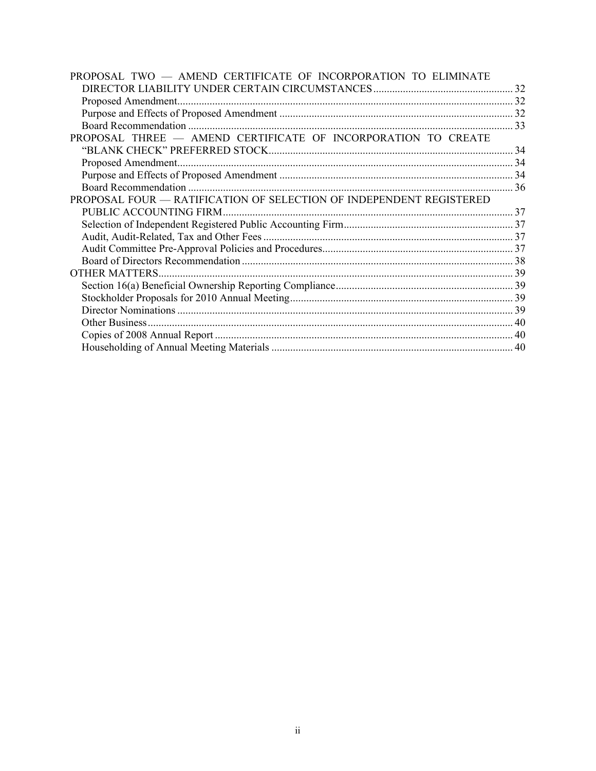| PROPOSAL TWO - AMEND CERTIFICATE OF INCORPORATION TO ELIMINATE      |  |
|---------------------------------------------------------------------|--|
|                                                                     |  |
|                                                                     |  |
|                                                                     |  |
|                                                                     |  |
| PROPOSAL THREE - AMEND CERTIFICATE OF INCORPORATION TO CREATE       |  |
|                                                                     |  |
|                                                                     |  |
|                                                                     |  |
|                                                                     |  |
| PROPOSAL FOUR - RATIFICATION OF SELECTION OF INDEPENDENT REGISTERED |  |
| PUBLIC ACCOUNTING FIRM                                              |  |
|                                                                     |  |
|                                                                     |  |
|                                                                     |  |
|                                                                     |  |
|                                                                     |  |
|                                                                     |  |
|                                                                     |  |
|                                                                     |  |
|                                                                     |  |
|                                                                     |  |
|                                                                     |  |
|                                                                     |  |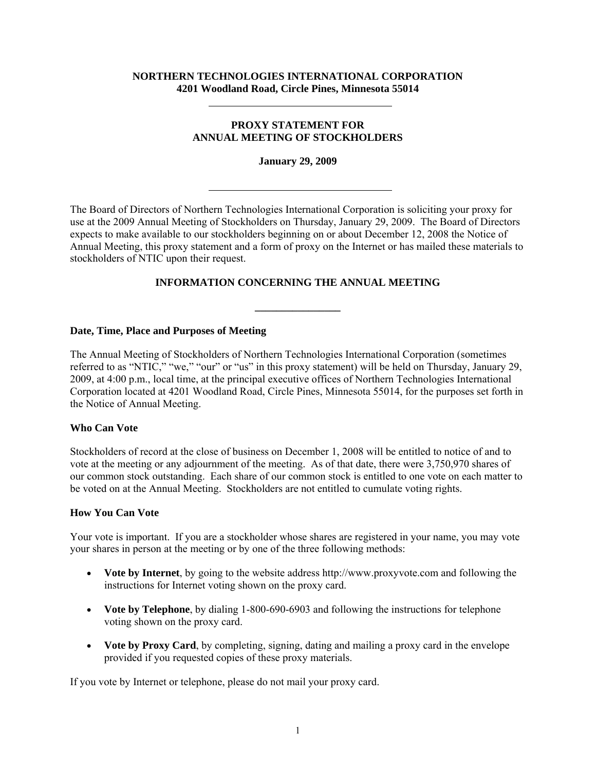#### **NORTHERN TECHNOLOGIES INTERNATIONAL CORPORATION 4201 Woodland Road, Circle Pines, Minnesota 55014**

# **PROXY STATEMENT FOR ANNUAL MEETING OF STOCKHOLDERS**

**January 29, 2009** 

The Board of Directors of Northern Technologies International Corporation is soliciting your proxy for use at the 2009 Annual Meeting of Stockholders on Thursday, January 29, 2009. The Board of Directors expects to make available to our stockholders beginning on or about December 12, 2008 the Notice of Annual Meeting, this proxy statement and a form of proxy on the Internet or has mailed these materials to stockholders of NTIC upon their request.

# **INFORMATION CONCERNING THE ANNUAL MEETING**

**\_\_\_\_\_\_\_\_\_\_\_\_\_\_\_\_** 

## **Date, Time, Place and Purposes of Meeting**

The Annual Meeting of Stockholders of Northern Technologies International Corporation (sometimes referred to as "NTIC," "we," "our" or "us" in this proxy statement) will be held on Thursday, January 29, 2009, at 4:00 p.m., local time, at the principal executive offices of Northern Technologies International Corporation located at 4201 Woodland Road, Circle Pines, Minnesota 55014, for the purposes set forth in the Notice of Annual Meeting.

## **Who Can Vote**

Stockholders of record at the close of business on December 1, 2008 will be entitled to notice of and to vote at the meeting or any adjournment of the meeting. As of that date, there were 3,750,970 shares of our common stock outstanding. Each share of our common stock is entitled to one vote on each matter to be voted on at the Annual Meeting. Stockholders are not entitled to cumulate voting rights.

#### **How You Can Vote**

Your vote is important. If you are a stockholder whose shares are registered in your name, you may vote your shares in person at the meeting or by one of the three following methods:

- **Vote by Internet**, by going to the website address http://www.proxyvote.com and following the instructions for Internet voting shown on the proxy card.
- **Vote by Telephone**, by dialing 1-800-690-6903 and following the instructions for telephone voting shown on the proxy card.
- **Vote by Proxy Card**, by completing, signing, dating and mailing a proxy card in the envelope provided if you requested copies of these proxy materials.

If you vote by Internet or telephone, please do not mail your proxy card.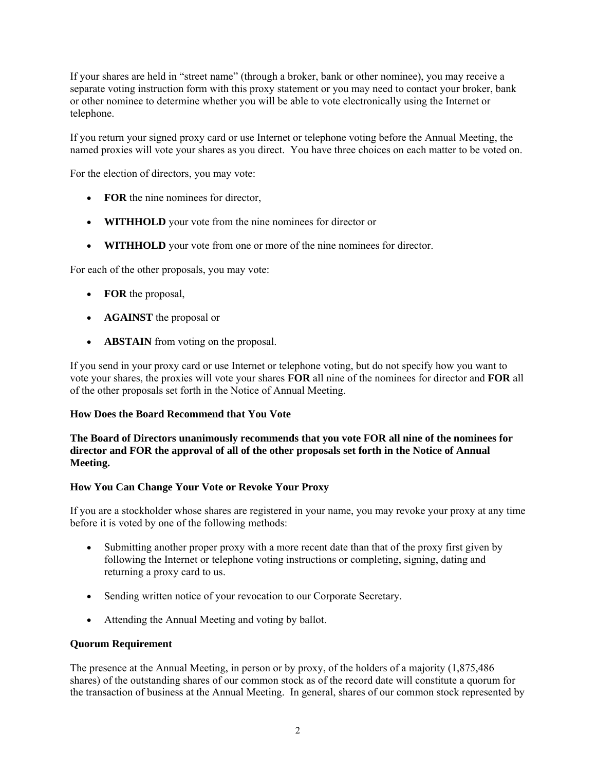If your shares are held in "street name" (through a broker, bank or other nominee), you may receive a separate voting instruction form with this proxy statement or you may need to contact your broker, bank or other nominee to determine whether you will be able to vote electronically using the Internet or telephone.

If you return your signed proxy card or use Internet or telephone voting before the Annual Meeting, the named proxies will vote your shares as you direct. You have three choices on each matter to be voted on.

For the election of directors, you may vote:

- **FOR** the nine nominees for director,
- **WITHHOLD** your vote from the nine nominees for director or
- **WITHHOLD** your vote from one or more of the nine nominees for director.

For each of the other proposals, you may vote:

- **FOR** the proposal,
- **AGAINST** the proposal or
- **ABSTAIN** from voting on the proposal.

If you send in your proxy card or use Internet or telephone voting, but do not specify how you want to vote your shares, the proxies will vote your shares **FOR** all nine of the nominees for director and **FOR** all of the other proposals set forth in the Notice of Annual Meeting.

## **How Does the Board Recommend that You Vote**

## **The Board of Directors unanimously recommends that you vote FOR all nine of the nominees for director and FOR the approval of all of the other proposals set forth in the Notice of Annual Meeting.**

## **How You Can Change Your Vote or Revoke Your Proxy**

If you are a stockholder whose shares are registered in your name, you may revoke your proxy at any time before it is voted by one of the following methods:

- Submitting another proper proxy with a more recent date than that of the proxy first given by following the Internet or telephone voting instructions or completing, signing, dating and returning a proxy card to us.
- Sending written notice of your revocation to our Corporate Secretary.
- Attending the Annual Meeting and voting by ballot.

#### **Quorum Requirement**

The presence at the Annual Meeting, in person or by proxy, of the holders of a majority (1,875,486 shares) of the outstanding shares of our common stock as of the record date will constitute a quorum for the transaction of business at the Annual Meeting. In general, shares of our common stock represented by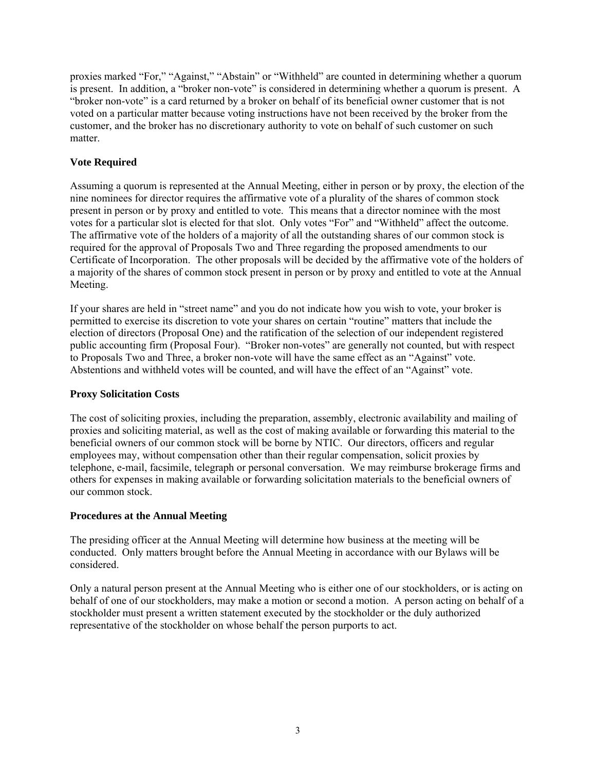proxies marked "For," "Against," "Abstain" or "Withheld" are counted in determining whether a quorum is present. In addition, a "broker non-vote" is considered in determining whether a quorum is present. A "broker non-vote" is a card returned by a broker on behalf of its beneficial owner customer that is not voted on a particular matter because voting instructions have not been received by the broker from the customer, and the broker has no discretionary authority to vote on behalf of such customer on such matter.

# **Vote Required**

Assuming a quorum is represented at the Annual Meeting, either in person or by proxy, the election of the nine nominees for director requires the affirmative vote of a plurality of the shares of common stock present in person or by proxy and entitled to vote. This means that a director nominee with the most votes for a particular slot is elected for that slot. Only votes "For" and "Withheld" affect the outcome. The affirmative vote of the holders of a majority of all the outstanding shares of our common stock is required for the approval of Proposals Two and Three regarding the proposed amendments to our Certificate of Incorporation. The other proposals will be decided by the affirmative vote of the holders of a majority of the shares of common stock present in person or by proxy and entitled to vote at the Annual Meeting.

If your shares are held in "street name" and you do not indicate how you wish to vote, your broker is permitted to exercise its discretion to vote your shares on certain "routine" matters that include the election of directors (Proposal One) and the ratification of the selection of our independent registered public accounting firm (Proposal Four). "Broker non-votes" are generally not counted, but with respect to Proposals Two and Three, a broker non-vote will have the same effect as an "Against" vote. Abstentions and withheld votes will be counted, and will have the effect of an "Against" vote.

## **Proxy Solicitation Costs**

The cost of soliciting proxies, including the preparation, assembly, electronic availability and mailing of proxies and soliciting material, as well as the cost of making available or forwarding this material to the beneficial owners of our common stock will be borne by NTIC. Our directors, officers and regular employees may, without compensation other than their regular compensation, solicit proxies by telephone, e-mail, facsimile, telegraph or personal conversation. We may reimburse brokerage firms and others for expenses in making available or forwarding solicitation materials to the beneficial owners of our common stock.

## **Procedures at the Annual Meeting**

The presiding officer at the Annual Meeting will determine how business at the meeting will be conducted. Only matters brought before the Annual Meeting in accordance with our Bylaws will be considered.

Only a natural person present at the Annual Meeting who is either one of our stockholders, or is acting on behalf of one of our stockholders, may make a motion or second a motion. A person acting on behalf of a stockholder must present a written statement executed by the stockholder or the duly authorized representative of the stockholder on whose behalf the person purports to act.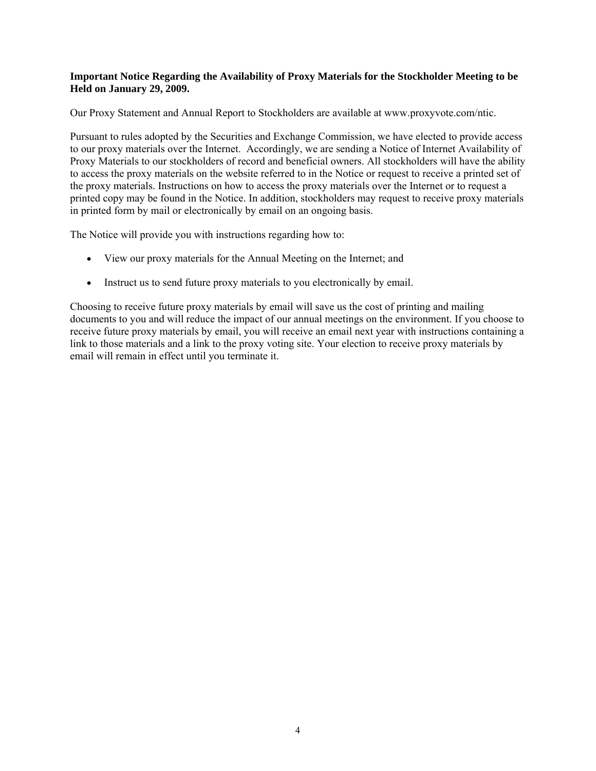#### **Important Notice Regarding the Availability of Proxy Materials for the Stockholder Meeting to be Held on January 29, 2009.**

Our Proxy Statement and Annual Report to Stockholders are available at www.proxyvote.com/ntic.

Pursuant to rules adopted by the Securities and Exchange Commission, we have elected to provide access to our proxy materials over the Internet. Accordingly, we are sending a Notice of Internet Availability of Proxy Materials to our stockholders of record and beneficial owners. All stockholders will have the ability to access the proxy materials on the website referred to in the Notice or request to receive a printed set of the proxy materials. Instructions on how to access the proxy materials over the Internet or to request a printed copy may be found in the Notice. In addition, stockholders may request to receive proxy materials in printed form by mail or electronically by email on an ongoing basis.

The Notice will provide you with instructions regarding how to:

- View our proxy materials for the Annual Meeting on the Internet; and
- Instruct us to send future proxy materials to you electronically by email.

Choosing to receive future proxy materials by email will save us the cost of printing and mailing documents to you and will reduce the impact of our annual meetings on the environment. If you choose to receive future proxy materials by email, you will receive an email next year with instructions containing a link to those materials and a link to the proxy voting site. Your election to receive proxy materials by email will remain in effect until you terminate it.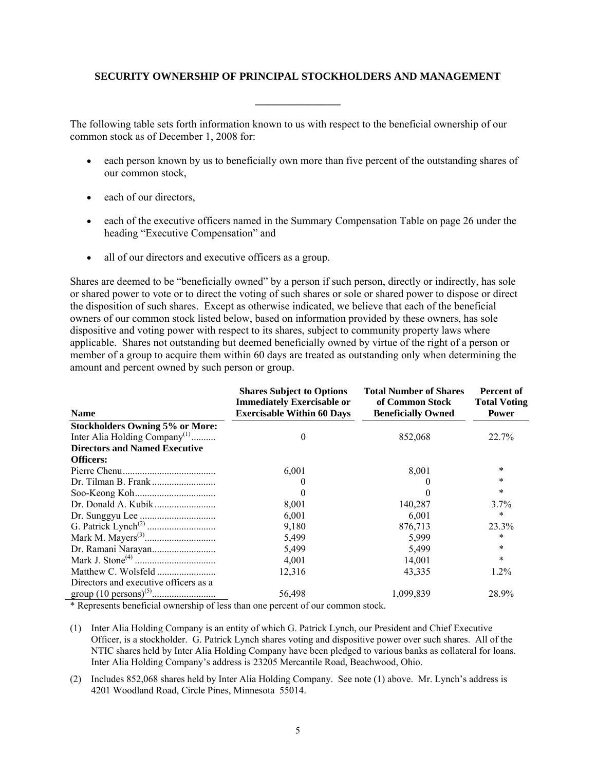## **SECURITY OWNERSHIP OF PRINCIPAL STOCKHOLDERS AND MANAGEMENT**

**\_\_\_\_\_\_\_\_\_\_\_\_\_\_\_\_** 

The following table sets forth information known to us with respect to the beneficial ownership of our common stock as of December 1, 2008 for:

- each person known by us to beneficially own more than five percent of the outstanding shares of our common stock,
- each of our directors,
- each of the executive officers named in the Summary Compensation Table on page 26 under the heading "Executive Compensation" and
- all of our directors and executive officers as a group.

Shares are deemed to be "beneficially owned" by a person if such person, directly or indirectly, has sole or shared power to vote or to direct the voting of such shares or sole or shared power to dispose or direct the disposition of such shares. Except as otherwise indicated, we believe that each of the beneficial owners of our common stock listed below, based on information provided by these owners, has sole dispositive and voting power with respect to its shares, subject to community property laws where applicable. Shares not outstanding but deemed beneficially owned by virtue of the right of a person or member of a group to acquire them within 60 days are treated as outstanding only when determining the amount and percent owned by such person or group.

| <b>Name</b>                               | <b>Shares Subject to Options</b><br><b>Immediately Exercisable or</b><br><b>Exercisable Within 60 Days</b> | <b>Total Number of Shares</b><br>of Common Stock<br><b>Beneficially Owned</b> | Percent of<br><b>Total Voting</b><br><b>Power</b> |  |
|-------------------------------------------|------------------------------------------------------------------------------------------------------------|-------------------------------------------------------------------------------|---------------------------------------------------|--|
| <b>Stockholders Owning 5% or More:</b>    |                                                                                                            |                                                                               |                                                   |  |
| Inter Alia Holding Company <sup>(1)</sup> | $\theta$                                                                                                   | 852,068                                                                       | 22.7%                                             |  |
| <b>Directors and Named Executive</b>      |                                                                                                            |                                                                               |                                                   |  |
| <b>Officers:</b>                          |                                                                                                            |                                                                               |                                                   |  |
|                                           | 6,001                                                                                                      | 8,001                                                                         | $\ast$                                            |  |
|                                           |                                                                                                            |                                                                               | $\ast$                                            |  |
|                                           |                                                                                                            |                                                                               | $\ast$                                            |  |
|                                           | 8,001                                                                                                      | 140,287                                                                       | 3.7%                                              |  |
|                                           | 6,001                                                                                                      | 6,001                                                                         | $\ast$                                            |  |
|                                           | 9,180                                                                                                      | 876,713                                                                       | 23.3%                                             |  |
|                                           | 5,499                                                                                                      | 5,999                                                                         | *                                                 |  |
|                                           | 5,499                                                                                                      | 5,499                                                                         | $\ast$                                            |  |
|                                           | 4,001                                                                                                      | 14,001                                                                        | $\ast$                                            |  |
|                                           | 12,316                                                                                                     | 43,335                                                                        | $1.2\%$                                           |  |
| Directors and executive officers as a     |                                                                                                            |                                                                               |                                                   |  |
|                                           | 56,498                                                                                                     | 1,099,839                                                                     | 28.9%                                             |  |

\* Represents beneficial ownership of less than one percent of our common stock.

- (1) Inter Alia Holding Company is an entity of which G. Patrick Lynch, our President and Chief Executive Officer, is a stockholder. G. Patrick Lynch shares voting and dispositive power over such shares. All of the NTIC shares held by Inter Alia Holding Company have been pledged to various banks as collateral for loans. Inter Alia Holding Company's address is 23205 Mercantile Road, Beachwood, Ohio.
- (2) Includes 852,068 shares held by Inter Alia Holding Company. See note (1) above. Mr. Lynch's address is 4201 Woodland Road, Circle Pines, Minnesota 55014.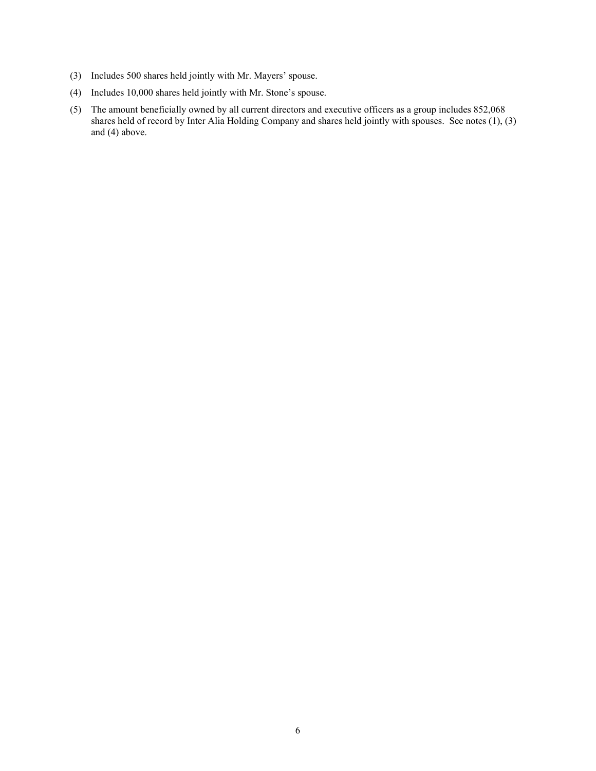- (3) Includes 500 shares held jointly with Mr. Mayers' spouse.
- (4) Includes 10,000 shares held jointly with Mr. Stone's spouse.
- (5) The amount beneficially owned by all current directors and executive officers as a group includes 852,068 shares held of record by Inter Alia Holding Company and shares held jointly with spouses. See notes (1), (3) and (4) above.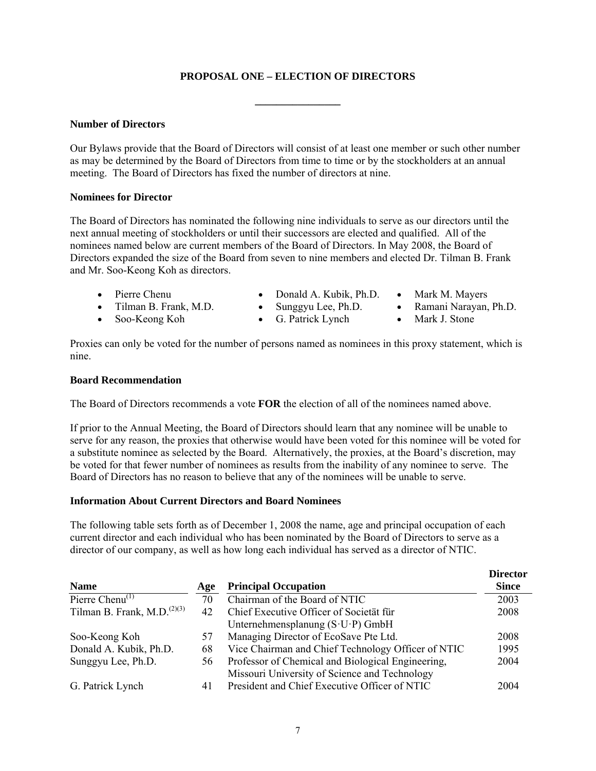# **PROPOSAL ONE – ELECTION OF DIRECTORS**

**\_\_\_\_\_\_\_\_\_\_\_\_\_\_\_\_** 

#### **Number of Directors**

Our Bylaws provide that the Board of Directors will consist of at least one member or such other number as may be determined by the Board of Directors from time to time or by the stockholders at an annual meeting. The Board of Directors has fixed the number of directors at nine.

#### **Nominees for Director**

The Board of Directors has nominated the following nine individuals to serve as our directors until the next annual meeting of stockholders or until their successors are elected and qualified. All of the nominees named below are current members of the Board of Directors. In May 2008, the Board of Directors expanded the size of the Board from seven to nine members and elected Dr. Tilman B. Frank and Mr. Soo-Keong Koh as directors.

- 
- Tilman B. Frank, M.D. Sunggyu Lee, Ph.D. Ramani Narayan, Ph.D.
- Soo-Keong Koh G. Patrick Lynch Mark J. Stone
- Pierre Chenu Donald A. Kubik, Ph.D. Mark M. Mayers
- -
	-

Proxies can only be voted for the number of persons named as nominees in this proxy statement, which is nine.

#### **Board Recommendation**

The Board of Directors recommends a vote **FOR** the election of all of the nominees named above.

If prior to the Annual Meeting, the Board of Directors should learn that any nominee will be unable to serve for any reason, the proxies that otherwise would have been voted for this nominee will be voted for a substitute nominee as selected by the Board. Alternatively, the proxies, at the Board's discretion, may be voted for that fewer number of nominees as results from the inability of any nominee to serve. The Board of Directors has no reason to believe that any of the nominees will be unable to serve.

## **Information About Current Directors and Board Nominees**

The following table sets forth as of December 1, 2008 the name, age and principal occupation of each current director and each individual who has been nominated by the Board of Directors to serve as a director of our company, as well as how long each individual has served as a director of NTIC.

| <b>Name</b>                       | Age | <b>Principal Occupation</b>                        | <b>Director</b><br><b>Since</b> |
|-----------------------------------|-----|----------------------------------------------------|---------------------------------|
| Pierre Chenu <sup>(1)</sup>       | 70  | Chairman of the Board of NTIC                      | 2003                            |
| Tilman B. Frank, M.D. $^{(2)(3)}$ | 42  | Chief Executive Officer of Societät für            | 2008                            |
|                                   |     | Unternehmensplanung $(S \cdot U \cdot P)$ GmbH     |                                 |
| Soo-Keong Koh                     | 57  | Managing Director of EcoSave Pte Ltd.              | 2008                            |
| Donald A. Kubik, Ph.D.            | 68  | Vice Chairman and Chief Technology Officer of NTIC | 1995                            |
| Sunggyu Lee, Ph.D.                | 56  | Professor of Chemical and Biological Engineering,  | 2004                            |
|                                   |     | Missouri University of Science and Technology      |                                 |
| G. Patrick Lynch                  | 41  | President and Chief Executive Officer of NTIC      | 2004                            |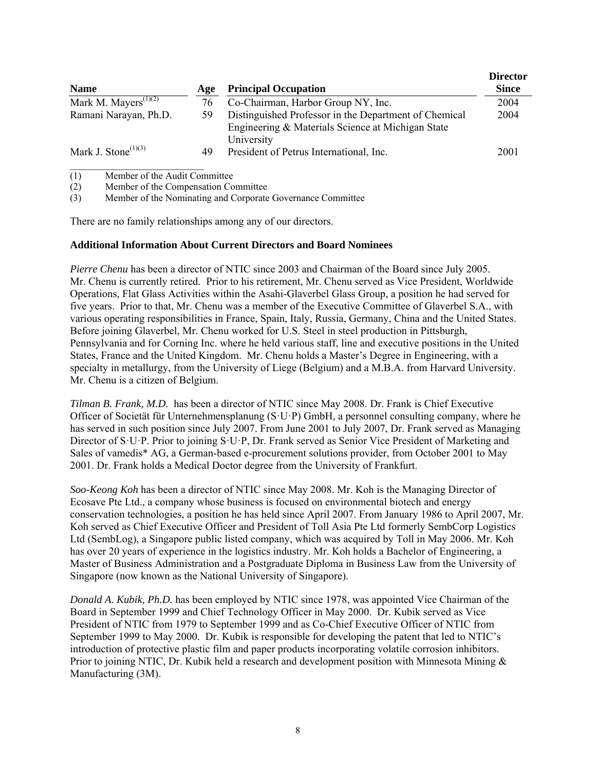| <b>Name</b>                                   | Age | <b>Principal Occupation</b>                                                                                              | <b>Director</b><br><b>Since</b> |
|-----------------------------------------------|-----|--------------------------------------------------------------------------------------------------------------------------|---------------------------------|
| Mark M. Mayers <sup><math>(1)(2)</math></sup> | 76  | Co-Chairman, Harbor Group NY, Inc.                                                                                       | 2004                            |
| Ramani Narayan, Ph.D.                         | 59  | Distinguished Professor in the Department of Chemical<br>Engineering & Materials Science at Michigan State<br>University | 2004                            |
| Mark J. Stone $^{(1)(3)}$                     | 49  | President of Petrus International, Inc.                                                                                  | 2001                            |

(1) Member of the Audit Committee

(2) Member of the Compensation Committee

(3) Member of the Nominating and Corporate Governance Committee

There are no family relationships among any of our directors.

#### **Additional Information About Current Directors and Board Nominees**

*Pierre Chenu* has been a director of NTIC since 2003 and Chairman of the Board since July 2005. Mr. Chenu is currently retired. Prior to his retirement, Mr. Chenu served as Vice President, Worldwide Operations, Flat Glass Activities within the Asahi-Glaverbel Glass Group, a position he had served for five years. Prior to that, Mr. Chenu was a member of the Executive Committee of Glaverbel S.A., with various operating responsibilities in France, Spain, Italy, Russia, Germany, China and the United States. Before joining Glaverbel, Mr. Chenu worked for U.S. Steel in steel production in Pittsburgh, Pennsylvania and for Corning Inc. where he held various staff, line and executive positions in the United States, France and the United Kingdom. Mr. Chenu holds a Master's Degree in Engineering, with a specialty in metallurgy, from the University of Liege (Belgium) and a M.B.A. from Harvard University. Mr. Chenu is a citizen of Belgium.

*Tilman B. Frank, M.D.* has been a director of NTIC since May 2008. Dr. Frank is Chief Executive Officer of Societät für Unternehmensplanung (S·U·P) GmbH, a personnel consulting company, where he has served in such position since July 2007. From June 2001 to July 2007, Dr. Frank served as Managing Director of S·U·P. Prior to joining S·U·P, Dr. Frank served as Senior Vice President of Marketing and Sales of vamedis\* AG, a German-based e-procurement solutions provider, from October 2001 to May 2001. Dr. Frank holds a Medical Doctor degree from the University of Frankfurt.

*Soo-Keong Koh* has been a director of NTIC since May 2008. Mr. Koh is the Managing Director of Ecosave Pte Ltd., a company whose business is focused on environmental biotech and energy conservation technologies, a position he has held since April 2007. From January 1986 to April 2007, Mr. Koh served as Chief Executive Officer and President of Toll Asia Pte Ltd formerly SembCorp Logistics Ltd (SembLog), a Singapore public listed company, which was acquired by Toll in May 2006. Mr. Koh has over 20 years of experience in the logistics industry. Mr. Koh holds a Bachelor of Engineering, a Master of Business Administration and a Postgraduate Diploma in Business Law from the University of Singapore (now known as the National University of Singapore).

*Donald A. Kubik, Ph.D.* has been employed by NTIC since 1978, was appointed Vice Chairman of the Board in September 1999 and Chief Technology Officer in May 2000. Dr. Kubik served as Vice President of NTIC from 1979 to September 1999 and as Co-Chief Executive Officer of NTIC from September 1999 to May 2000. Dr. Kubik is responsible for developing the patent that led to NTIC's introduction of protective plastic film and paper products incorporating volatile corrosion inhibitors. Prior to joining NTIC, Dr. Kubik held a research and development position with Minnesota Mining  $\&$ Manufacturing (3M).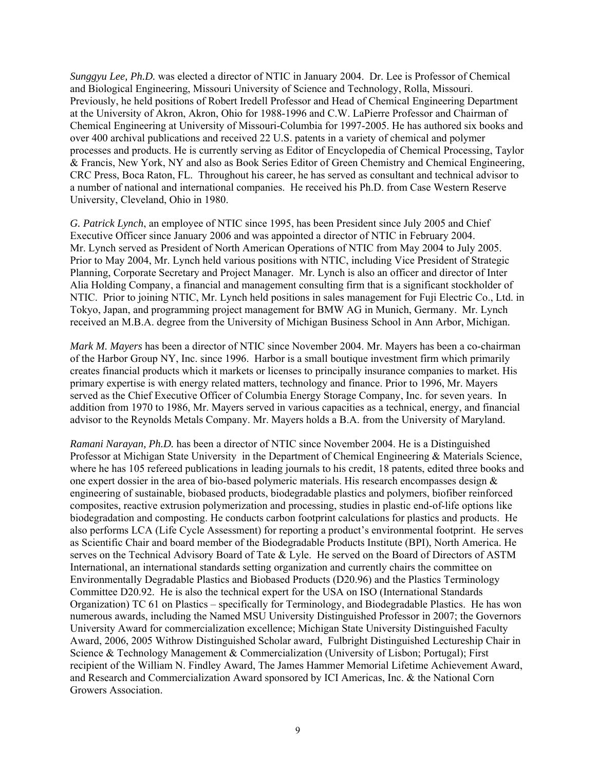*Sunggyu Lee, Ph.D.* was elected a director of NTIC in January 2004. Dr. Lee is Professor of Chemical and Biological Engineering, Missouri University of Science and Technology, Rolla, Missouri. Previously, he held positions of Robert Iredell Professor and Head of Chemical Engineering Department at the University of Akron, Akron, Ohio for 1988-1996 and C.W. LaPierre Professor and Chairman of Chemical Engineering at University of Missouri-Columbia for 1997-2005. He has authored six books and over 400 archival publications and received 22 U.S. patents in a variety of chemical and polymer processes and products. He is currently serving as Editor of Encyclopedia of Chemical Processing, Taylor & Francis, New York, NY and also as Book Series Editor of Green Chemistry and Chemical Engineering, CRC Press, Boca Raton, FL. Throughout his career, he has served as consultant and technical advisor to a number of national and international companies. He received his Ph.D. from Case Western Reserve University, Cleveland, Ohio in 1980.

*G. Patrick Lynch*, an employee of NTIC since 1995, has been President since July 2005 and Chief Executive Officer since January 2006 and was appointed a director of NTIC in February 2004. Mr. Lynch served as President of North American Operations of NTIC from May 2004 to July 2005. Prior to May 2004, Mr. Lynch held various positions with NTIC, including Vice President of Strategic Planning, Corporate Secretary and Project Manager. Mr. Lynch is also an officer and director of Inter Alia Holding Company, a financial and management consulting firm that is a significant stockholder of NTIC. Prior to joining NTIC, Mr. Lynch held positions in sales management for Fuji Electric Co., Ltd. in Tokyo, Japan, and programming project management for BMW AG in Munich, Germany. Mr. Lynch received an M.B.A. degree from the University of Michigan Business School in Ann Arbor, Michigan.

*Mark M. Mayers* has been a director of NTIC since November 2004. Mr. Mayers has been a co-chairman of the Harbor Group NY, Inc. since 1996. Harbor is a small boutique investment firm which primarily creates financial products which it markets or licenses to principally insurance companies to market. His primary expertise is with energy related matters, technology and finance. Prior to 1996, Mr. Mayers served as the Chief Executive Officer of Columbia Energy Storage Company, Inc. for seven years. In addition from 1970 to 1986, Mr. Mayers served in various capacities as a technical, energy, and financial advisor to the Reynolds Metals Company. Mr. Mayers holds a B.A. from the University of Maryland.

*Ramani Narayan, Ph.D.* has been a director of NTIC since November 2004. He is a Distinguished Professor at Michigan State University in the Department of Chemical Engineering & Materials Science, where he has 105 refereed publications in leading journals to his credit, 18 patents, edited three books and one expert dossier in the area of bio-based polymeric materials. His research encompasses design  $\&$ engineering of sustainable, biobased products, biodegradable plastics and polymers, biofiber reinforced composites, reactive extrusion polymerization and processing, studies in plastic end-of-life options like biodegradation and composting. He conducts carbon footprint calculations for plastics and products. He also performs LCA (Life Cycle Assessment) for reporting a product's environmental footprint. He serves as Scientific Chair and board member of the Biodegradable Products Institute (BPI), North America. He serves on the Technical Advisory Board of Tate & Lyle. He served on the Board of Directors of ASTM International, an international standards setting organization and currently chairs the committee on Environmentally Degradable Plastics and Biobased Products (D20.96) and the Plastics Terminology Committee D20.92. He is also the technical expert for the USA on ISO (International Standards Organization) TC 61 on Plastics – specifically for Terminology, and Biodegradable Plastics. He has won numerous awards, including the Named MSU University Distinguished Professor in 2007; the Governors University Award for commercialization excellence; Michigan State University Distinguished Faculty Award, 2006, 2005 Withrow Distinguished Scholar award, Fulbright Distinguished Lectureship Chair in Science & Technology Management & Commercialization (University of Lisbon; Portugal); First recipient of the William N. Findley Award, The James Hammer Memorial Lifetime Achievement Award, and Research and Commercialization Award sponsored by ICI Americas, Inc. & the National Corn Growers Association.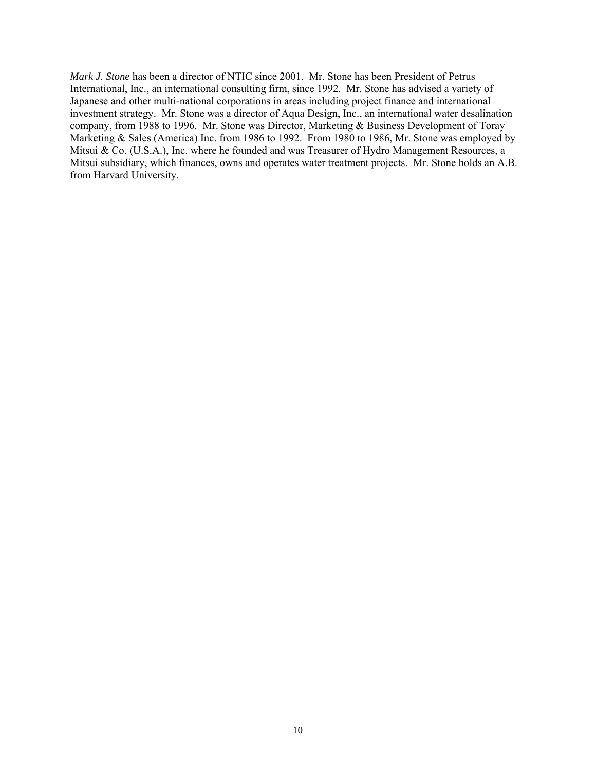*Mark J. Stone* has been a director of NTIC since 2001. Mr. Stone has been President of Petrus International, Inc., an international consulting firm, since 1992. Mr. Stone has advised a variety of Japanese and other multi-national corporations in areas including project finance and international investment strategy. Mr. Stone was a director of Aqua Design, Inc., an international water desalination company, from 1988 to 1996. Mr. Stone was Director, Marketing & Business Development of Toray Marketing & Sales (America) Inc. from 1986 to 1992. From 1980 to 1986, Mr. Stone was employed by Mitsui & Co. (U.S.A.), Inc. where he founded and was Treasurer of Hydro Management Resources, a Mitsui subsidiary, which finances, owns and operates water treatment projects. Mr. Stone holds an A.B. from Harvard University.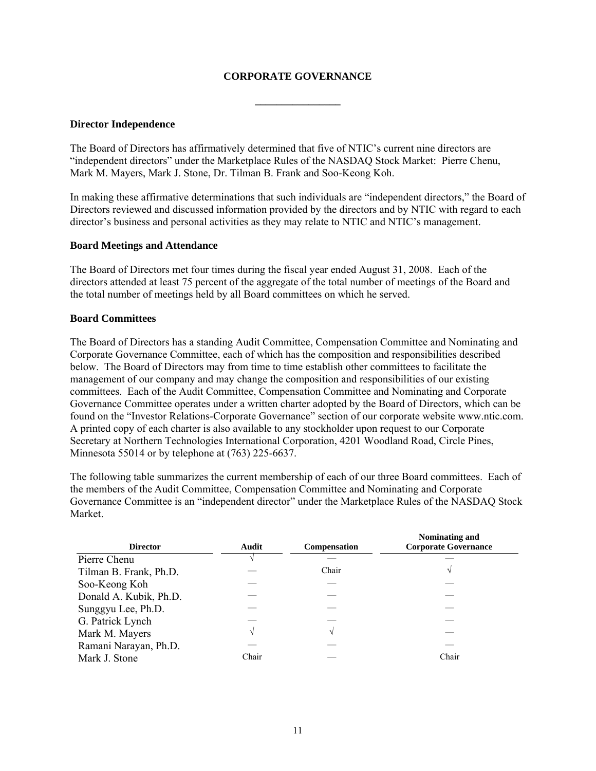## **CORPORATE GOVERNANCE**

**\_\_\_\_\_\_\_\_\_\_\_\_\_\_\_\_** 

#### **Director Independence**

The Board of Directors has affirmatively determined that five of NTIC's current nine directors are "independent directors" under the Marketplace Rules of the NASDAQ Stock Market: Pierre Chenu, Mark M. Mayers, Mark J. Stone, Dr. Tilman B. Frank and Soo-Keong Koh.

In making these affirmative determinations that such individuals are "independent directors," the Board of Directors reviewed and discussed information provided by the directors and by NTIC with regard to each director's business and personal activities as they may relate to NTIC and NTIC's management.

#### **Board Meetings and Attendance**

The Board of Directors met four times during the fiscal year ended August 31, 2008. Each of the directors attended at least 75 percent of the aggregate of the total number of meetings of the Board and the total number of meetings held by all Board committees on which he served.

## **Board Committees**

The Board of Directors has a standing Audit Committee, Compensation Committee and Nominating and Corporate Governance Committee, each of which has the composition and responsibilities described below. The Board of Directors may from time to time establish other committees to facilitate the management of our company and may change the composition and responsibilities of our existing committees. Each of the Audit Committee, Compensation Committee and Nominating and Corporate Governance Committee operates under a written charter adopted by the Board of Directors, which can be found on the "Investor Relations-Corporate Governance" section of our corporate website www.ntic.com. A printed copy of each charter is also available to any stockholder upon request to our Corporate Secretary at Northern Technologies International Corporation, 4201 Woodland Road, Circle Pines, Minnesota 55014 or by telephone at (763) 225-6637.

The following table summarizes the current membership of each of our three Board committees. Each of the members of the Audit Committee, Compensation Committee and Nominating and Corporate Governance Committee is an "independent director" under the Marketplace Rules of the NASDAQ Stock Market.

| <b>Director</b>        | Audit | Compensation | Nominating and<br><b>Corporate Governance</b> |
|------------------------|-------|--------------|-----------------------------------------------|
| Pierre Chenu           |       |              |                                               |
| Tilman B. Frank, Ph.D. |       | Chair        | N                                             |
| Soo-Keong Koh          |       |              |                                               |
| Donald A. Kubik, Ph.D. |       |              |                                               |
| Sunggyu Lee, Ph.D.     |       |              |                                               |
| G. Patrick Lynch       |       |              |                                               |
| Mark M. Mayers         |       |              |                                               |
| Ramani Narayan, Ph.D.  |       |              |                                               |
| Mark J. Stone          | Chair |              | Chair                                         |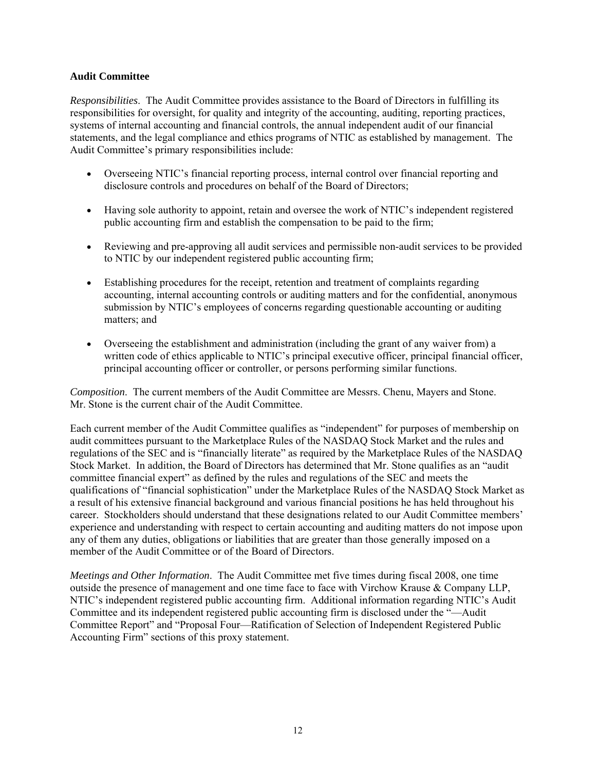## **Audit Committee**

*Responsibilities*. The Audit Committee provides assistance to the Board of Directors in fulfilling its responsibilities for oversight, for quality and integrity of the accounting, auditing, reporting practices, systems of internal accounting and financial controls, the annual independent audit of our financial statements, and the legal compliance and ethics programs of NTIC as established by management. The Audit Committee's primary responsibilities include:

- Overseeing NTIC's financial reporting process, internal control over financial reporting and disclosure controls and procedures on behalf of the Board of Directors;
- Having sole authority to appoint, retain and oversee the work of NTIC's independent registered public accounting firm and establish the compensation to be paid to the firm;
- Reviewing and pre-approving all audit services and permissible non-audit services to be provided to NTIC by our independent registered public accounting firm;
- Establishing procedures for the receipt, retention and treatment of complaints regarding accounting, internal accounting controls or auditing matters and for the confidential, anonymous submission by NTIC's employees of concerns regarding questionable accounting or auditing matters; and
- Overseeing the establishment and administration (including the grant of any waiver from) a written code of ethics applicable to NTIC's principal executive officer, principal financial officer, principal accounting officer or controller, or persons performing similar functions.

*Composition*. The current members of the Audit Committee are Messrs. Chenu, Mayers and Stone. Mr. Stone is the current chair of the Audit Committee.

Each current member of the Audit Committee qualifies as "independent" for purposes of membership on audit committees pursuant to the Marketplace Rules of the NASDAQ Stock Market and the rules and regulations of the SEC and is "financially literate" as required by the Marketplace Rules of the NASDAQ Stock Market. In addition, the Board of Directors has determined that Mr. Stone qualifies as an "audit committee financial expert" as defined by the rules and regulations of the SEC and meets the qualifications of "financial sophistication" under the Marketplace Rules of the NASDAQ Stock Market as a result of his extensive financial background and various financial positions he has held throughout his career. Stockholders should understand that these designations related to our Audit Committee members' experience and understanding with respect to certain accounting and auditing matters do not impose upon any of them any duties, obligations or liabilities that are greater than those generally imposed on a member of the Audit Committee or of the Board of Directors.

*Meetings and Other Information*. The Audit Committee met five times during fiscal 2008, one time outside the presence of management and one time face to face with Virchow Krause & Company LLP, NTIC's independent registered public accounting firm. Additional information regarding NTIC's Audit Committee and its independent registered public accounting firm is disclosed under the "—Audit Committee Report" and "Proposal Four—Ratification of Selection of Independent Registered Public Accounting Firm" sections of this proxy statement.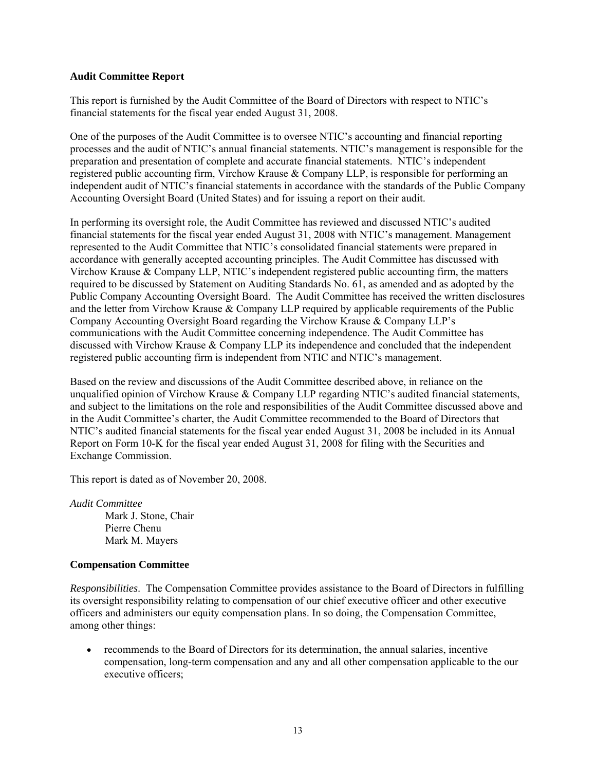#### **Audit Committee Report**

This report is furnished by the Audit Committee of the Board of Directors with respect to NTIC's financial statements for the fiscal year ended August 31, 2008.

One of the purposes of the Audit Committee is to oversee NTIC's accounting and financial reporting processes and the audit of NTIC's annual financial statements. NTIC's management is responsible for the preparation and presentation of complete and accurate financial statements. NTIC's independent registered public accounting firm, Virchow Krause & Company LLP, is responsible for performing an independent audit of NTIC's financial statements in accordance with the standards of the Public Company Accounting Oversight Board (United States) and for issuing a report on their audit.

In performing its oversight role, the Audit Committee has reviewed and discussed NTIC's audited financial statements for the fiscal year ended August 31, 2008 with NTIC's management. Management represented to the Audit Committee that NTIC's consolidated financial statements were prepared in accordance with generally accepted accounting principles. The Audit Committee has discussed with Virchow Krause & Company LLP, NTIC's independent registered public accounting firm, the matters required to be discussed by Statement on Auditing Standards No. 61, as amended and as adopted by the Public Company Accounting Oversight Board. The Audit Committee has received the written disclosures and the letter from Virchow Krause & Company LLP required by applicable requirements of the Public Company Accounting Oversight Board regarding the Virchow Krause & Company LLP's communications with the Audit Committee concerning independence. The Audit Committee has discussed with Virchow Krause & Company LLP its independence and concluded that the independent registered public accounting firm is independent from NTIC and NTIC's management.

Based on the review and discussions of the Audit Committee described above, in reliance on the unqualified opinion of Virchow Krause & Company LLP regarding NTIC's audited financial statements, and subject to the limitations on the role and responsibilities of the Audit Committee discussed above and in the Audit Committee's charter, the Audit Committee recommended to the Board of Directors that NTIC's audited financial statements for the fiscal year ended August 31, 2008 be included in its Annual Report on Form 10-K for the fiscal year ended August 31, 2008 for filing with the Securities and Exchange Commission.

This report is dated as of November 20, 2008.

*Audit Committee* Mark J. Stone, Chair Pierre Chenu Mark M. Mayers

## **Compensation Committee**

*Responsibilities*. The Compensation Committee provides assistance to the Board of Directors in fulfilling its oversight responsibility relating to compensation of our chief executive officer and other executive officers and administers our equity compensation plans. In so doing, the Compensation Committee, among other things:

• recommends to the Board of Directors for its determination, the annual salaries, incentive compensation, long-term compensation and any and all other compensation applicable to the our executive officers;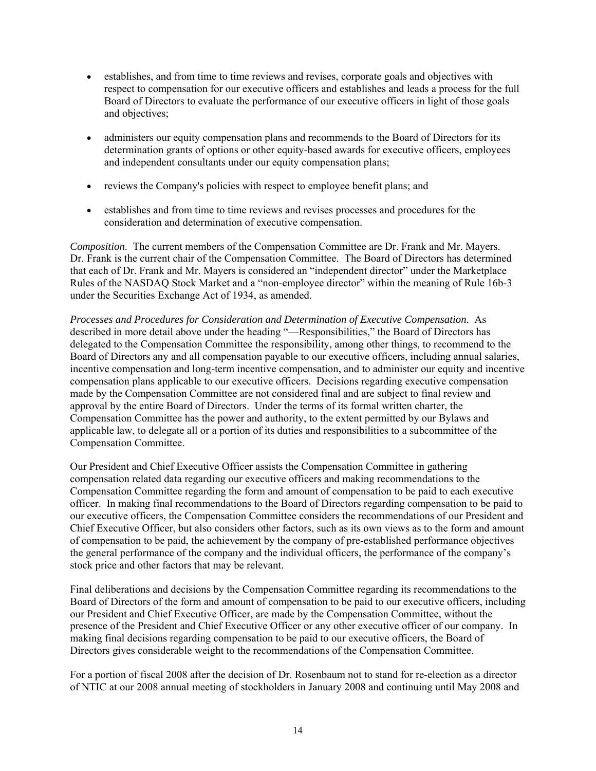- establishes, and from time to time reviews and revises, corporate goals and objectives with respect to compensation for our executive officers and establishes and leads a process for the full Board of Directors to evaluate the performance of our executive officers in light of those goals and objectives;
- administers our equity compensation plans and recommends to the Board of Directors for its determination grants of options or other equity-based awards for executive officers, employees and independent consultants under our equity compensation plans;
- reviews the Company's policies with respect to employee benefit plans; and
- establishes and from time to time reviews and revises processes and procedures for the consideration and determination of executive compensation.

*Composition*. The current members of the Compensation Committee are Dr. Frank and Mr. Mayers. Dr. Frank is the current chair of the Compensation Committee. The Board of Directors has determined that each of Dr. Frank and Mr. Mayers is considered an "independent director" under the Marketplace Rules of the NASDAQ Stock Market and a "non-employee director" within the meaning of Rule 16b-3 under the Securities Exchange Act of 1934, as amended.

*Processes and Procedures for Consideration and Determination of Executive Compensation*. As described in more detail above under the heading "—Responsibilities," the Board of Directors has delegated to the Compensation Committee the responsibility, among other things, to recommend to the Board of Directors any and all compensation payable to our executive officers, including annual salaries, incentive compensation and long-term incentive compensation, and to administer our equity and incentive compensation plans applicable to our executive officers. Decisions regarding executive compensation made by the Compensation Committee are not considered final and are subject to final review and approval by the entire Board of Directors. Under the terms of its formal written charter, the Compensation Committee has the power and authority, to the extent permitted by our Bylaws and applicable law, to delegate all or a portion of its duties and responsibilities to a subcommittee of the Compensation Committee.

Our President and Chief Executive Officer assists the Compensation Committee in gathering compensation related data regarding our executive officers and making recommendations to the Compensation Committee regarding the form and amount of compensation to be paid to each executive officer. In making final recommendations to the Board of Directors regarding compensation to be paid to our executive officers, the Compensation Committee considers the recommendations of our President and Chief Executive Officer, but also considers other factors, such as its own views as to the form and amount of compensation to be paid, the achievement by the company of pre-established performance objectives the general performance of the company and the individual officers, the performance of the company's stock price and other factors that may be relevant.

Final deliberations and decisions by the Compensation Committee regarding its recommendations to the Board of Directors of the form and amount of compensation to be paid to our executive officers, including our President and Chief Executive Officer, are made by the Compensation Committee, without the presence of the President and Chief Executive Officer or any other executive officer of our company. In making final decisions regarding compensation to be paid to our executive officers, the Board of Directors gives considerable weight to the recommendations of the Compensation Committee.

For a portion of fiscal 2008 after the decision of Dr. Rosenbaum not to stand for re-election as a director of NTIC at our 2008 annual meeting of stockholders in January 2008 and continuing until May 2008 and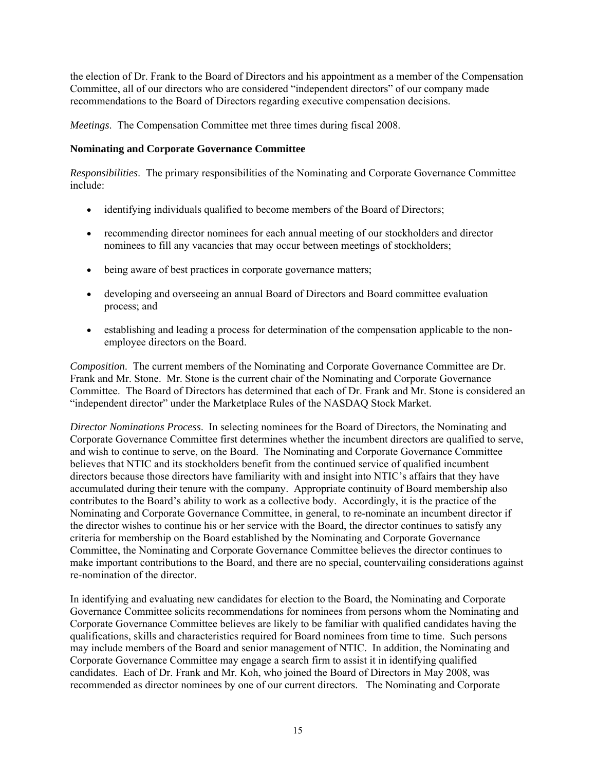the election of Dr. Frank to the Board of Directors and his appointment as a member of the Compensation Committee, all of our directors who are considered "independent directors" of our company made recommendations to the Board of Directors regarding executive compensation decisions.

*Meetings*. The Compensation Committee met three times during fiscal 2008.

# **Nominating and Corporate Governance Committee**

*Responsibilities*. The primary responsibilities of the Nominating and Corporate Governance Committee include:

- identifying individuals qualified to become members of the Board of Directors;
- recommending director nominees for each annual meeting of our stockholders and director nominees to fill any vacancies that may occur between meetings of stockholders;
- being aware of best practices in corporate governance matters;
- developing and overseeing an annual Board of Directors and Board committee evaluation process; and
- establishing and leading a process for determination of the compensation applicable to the nonemployee directors on the Board.

*Composition*. The current members of the Nominating and Corporate Governance Committee are Dr. Frank and Mr. Stone. Mr. Stone is the current chair of the Nominating and Corporate Governance Committee. The Board of Directors has determined that each of Dr. Frank and Mr. Stone is considered an "independent director" under the Marketplace Rules of the NASDAQ Stock Market.

*Director Nominations Process*. In selecting nominees for the Board of Directors, the Nominating and Corporate Governance Committee first determines whether the incumbent directors are qualified to serve, and wish to continue to serve, on the Board. The Nominating and Corporate Governance Committee believes that NTIC and its stockholders benefit from the continued service of qualified incumbent directors because those directors have familiarity with and insight into NTIC's affairs that they have accumulated during their tenure with the company. Appropriate continuity of Board membership also contributes to the Board's ability to work as a collective body. Accordingly, it is the practice of the Nominating and Corporate Governance Committee, in general, to re-nominate an incumbent director if the director wishes to continue his or her service with the Board, the director continues to satisfy any criteria for membership on the Board established by the Nominating and Corporate Governance Committee, the Nominating and Corporate Governance Committee believes the director continues to make important contributions to the Board, and there are no special, countervailing considerations against re-nomination of the director.

In identifying and evaluating new candidates for election to the Board, the Nominating and Corporate Governance Committee solicits recommendations for nominees from persons whom the Nominating and Corporate Governance Committee believes are likely to be familiar with qualified candidates having the qualifications, skills and characteristics required for Board nominees from time to time. Such persons may include members of the Board and senior management of NTIC. In addition, the Nominating and Corporate Governance Committee may engage a search firm to assist it in identifying qualified candidates. Each of Dr. Frank and Mr. Koh, who joined the Board of Directors in May 2008, was recommended as director nominees by one of our current directors. The Nominating and Corporate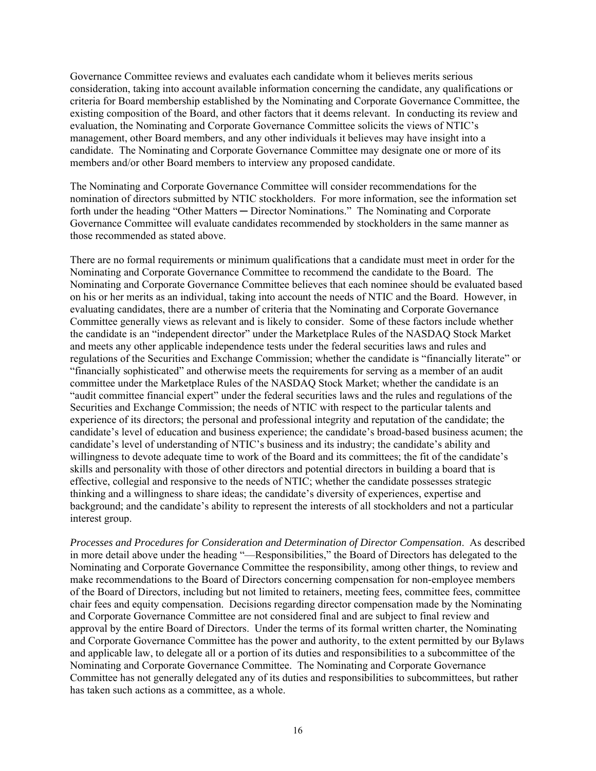Governance Committee reviews and evaluates each candidate whom it believes merits serious consideration, taking into account available information concerning the candidate, any qualifications or criteria for Board membership established by the Nominating and Corporate Governance Committee, the existing composition of the Board, and other factors that it deems relevant. In conducting its review and evaluation, the Nominating and Corporate Governance Committee solicits the views of NTIC's management, other Board members, and any other individuals it believes may have insight into a candidate. The Nominating and Corporate Governance Committee may designate one or more of its members and/or other Board members to interview any proposed candidate.

The Nominating and Corporate Governance Committee will consider recommendations for the nomination of directors submitted by NTIC stockholders. For more information, see the information set forth under the heading "Other Matters — Director Nominations." The Nominating and Corporate Governance Committee will evaluate candidates recommended by stockholders in the same manner as those recommended as stated above.

There are no formal requirements or minimum qualifications that a candidate must meet in order for the Nominating and Corporate Governance Committee to recommend the candidate to the Board. The Nominating and Corporate Governance Committee believes that each nominee should be evaluated based on his or her merits as an individual, taking into account the needs of NTIC and the Board. However, in evaluating candidates, there are a number of criteria that the Nominating and Corporate Governance Committee generally views as relevant and is likely to consider. Some of these factors include whether the candidate is an "independent director" under the Marketplace Rules of the NASDAQ Stock Market and meets any other applicable independence tests under the federal securities laws and rules and regulations of the Securities and Exchange Commission; whether the candidate is "financially literate" or "financially sophisticated" and otherwise meets the requirements for serving as a member of an audit committee under the Marketplace Rules of the NASDAQ Stock Market; whether the candidate is an "audit committee financial expert" under the federal securities laws and the rules and regulations of the Securities and Exchange Commission; the needs of NTIC with respect to the particular talents and experience of its directors; the personal and professional integrity and reputation of the candidate; the candidate's level of education and business experience; the candidate's broad-based business acumen; the candidate's level of understanding of NTIC's business and its industry; the candidate's ability and willingness to devote adequate time to work of the Board and its committees; the fit of the candidate's skills and personality with those of other directors and potential directors in building a board that is effective, collegial and responsive to the needs of NTIC; whether the candidate possesses strategic thinking and a willingness to share ideas; the candidate's diversity of experiences, expertise and background; and the candidate's ability to represent the interests of all stockholders and not a particular interest group.

*Processes and Procedures for Consideration and Determination of Director Compensation*. As described in more detail above under the heading "—Responsibilities," the Board of Directors has delegated to the Nominating and Corporate Governance Committee the responsibility, among other things, to review and make recommendations to the Board of Directors concerning compensation for non-employee members of the Board of Directors, including but not limited to retainers, meeting fees, committee fees, committee chair fees and equity compensation. Decisions regarding director compensation made by the Nominating and Corporate Governance Committee are not considered final and are subject to final review and approval by the entire Board of Directors. Under the terms of its formal written charter, the Nominating and Corporate Governance Committee has the power and authority, to the extent permitted by our Bylaws and applicable law, to delegate all or a portion of its duties and responsibilities to a subcommittee of the Nominating and Corporate Governance Committee. The Nominating and Corporate Governance Committee has not generally delegated any of its duties and responsibilities to subcommittees, but rather has taken such actions as a committee, as a whole.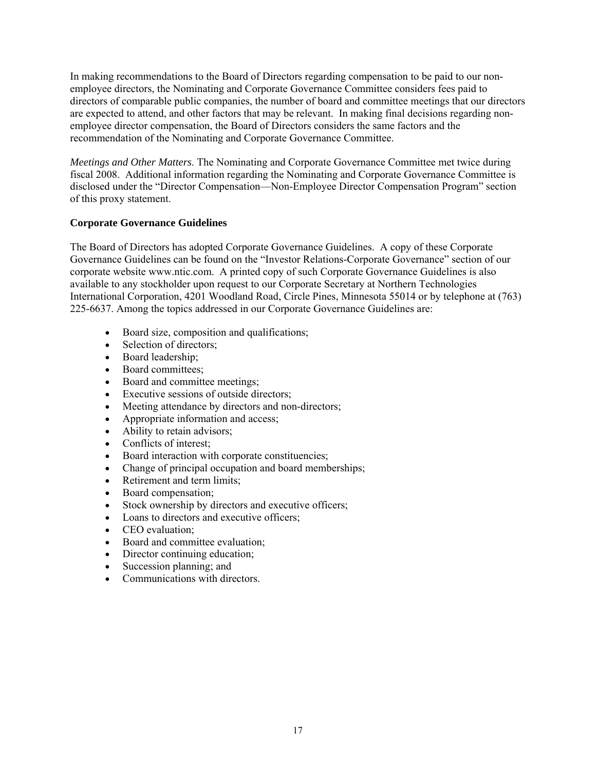In making recommendations to the Board of Directors regarding compensation to be paid to our nonemployee directors, the Nominating and Corporate Governance Committee considers fees paid to directors of comparable public companies, the number of board and committee meetings that our directors are expected to attend, and other factors that may be relevant. In making final decisions regarding nonemployee director compensation, the Board of Directors considers the same factors and the recommendation of the Nominating and Corporate Governance Committee.

*Meetings and Other Matters*. The Nominating and Corporate Governance Committee met twice during fiscal 2008. Additional information regarding the Nominating and Corporate Governance Committee is disclosed under the "Director Compensation—Non-Employee Director Compensation Program" section of this proxy statement.

# **Corporate Governance Guidelines**

The Board of Directors has adopted Corporate Governance Guidelines. A copy of these Corporate Governance Guidelines can be found on the "Investor Relations-Corporate Governance" section of our corporate website www.ntic.com. A printed copy of such Corporate Governance Guidelines is also available to any stockholder upon request to our Corporate Secretary at Northern Technologies International Corporation, 4201 Woodland Road, Circle Pines, Minnesota 55014 or by telephone at (763) 225-6637. Among the topics addressed in our Corporate Governance Guidelines are:

- Board size, composition and qualifications;
- Selection of directors:
- Board leadership:
- Board committees;
- Board and committee meetings;
- Executive sessions of outside directors;
- Meeting attendance by directors and non-directors;
- Appropriate information and access;
- Ability to retain advisors;
- Conflicts of interest;
- Board interaction with corporate constituencies;
- Change of principal occupation and board memberships;
- Retirement and term limits;
- Board compensation;
- Stock ownership by directors and executive officers;
- Loans to directors and executive officers;
- CEO evaluation:
- Board and committee evaluation;
- Director continuing education;
- Succession planning; and
- Communications with directors.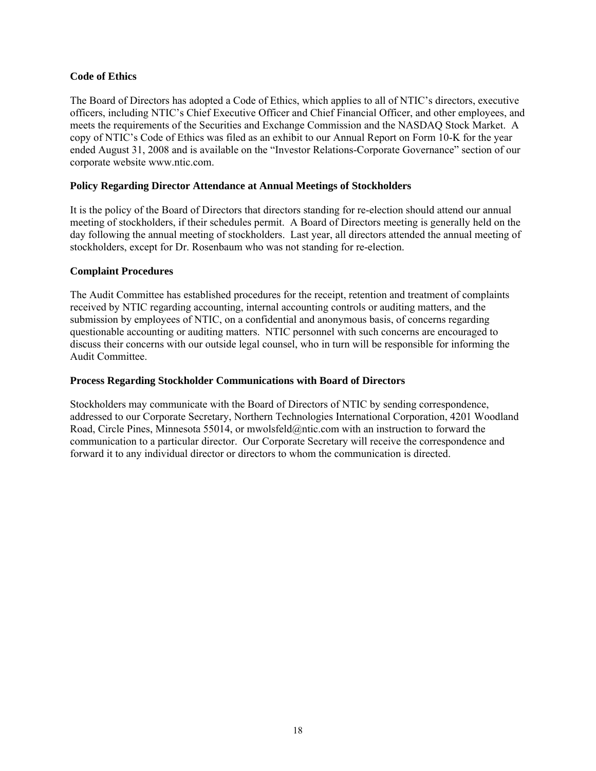# **Code of Ethics**

The Board of Directors has adopted a Code of Ethics, which applies to all of NTIC's directors, executive officers, including NTIC's Chief Executive Officer and Chief Financial Officer, and other employees, and meets the requirements of the Securities and Exchange Commission and the NASDAQ Stock Market. A copy of NTIC's Code of Ethics was filed as an exhibit to our Annual Report on Form 10-K for the year ended August 31, 2008 and is available on the "Investor Relations-Corporate Governance" section of our corporate website www.ntic.com.

## **Policy Regarding Director Attendance at Annual Meetings of Stockholders**

It is the policy of the Board of Directors that directors standing for re-election should attend our annual meeting of stockholders, if their schedules permit. A Board of Directors meeting is generally held on the day following the annual meeting of stockholders. Last year, all directors attended the annual meeting of stockholders, except for Dr. Rosenbaum who was not standing for re-election.

## **Complaint Procedures**

The Audit Committee has established procedures for the receipt, retention and treatment of complaints received by NTIC regarding accounting, internal accounting controls or auditing matters, and the submission by employees of NTIC, on a confidential and anonymous basis, of concerns regarding questionable accounting or auditing matters. NTIC personnel with such concerns are encouraged to discuss their concerns with our outside legal counsel, who in turn will be responsible for informing the Audit Committee.

#### **Process Regarding Stockholder Communications with Board of Directors**

Stockholders may communicate with the Board of Directors of NTIC by sending correspondence, addressed to our Corporate Secretary, Northern Technologies International Corporation, 4201 Woodland Road, Circle Pines, Minnesota 55014, or mwolsfeld@ntic.com with an instruction to forward the communication to a particular director. Our Corporate Secretary will receive the correspondence and forward it to any individual director or directors to whom the communication is directed.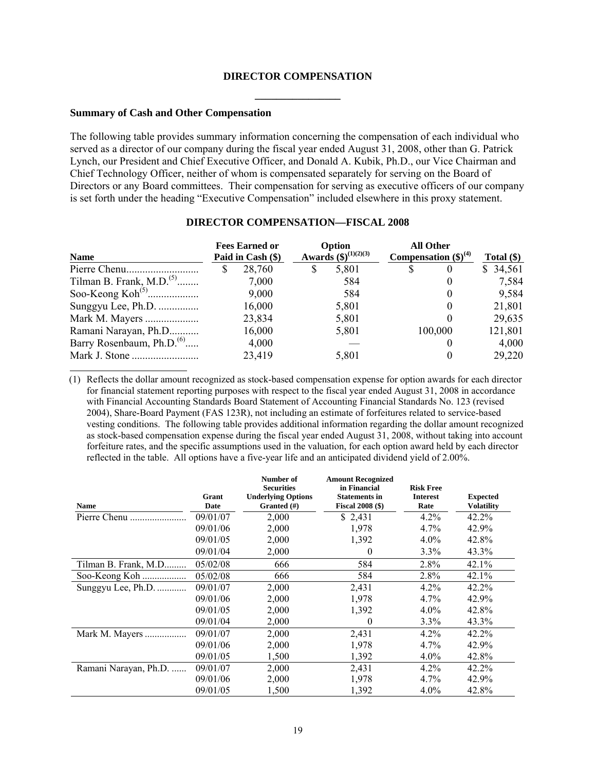# **DIRECTOR COMPENSATION \_\_\_\_\_\_\_\_\_\_\_\_\_\_\_\_**

#### **Summary of Cash and Other Compensation**

The following table provides summary information concerning the compensation of each individual who served as a director of our company during the fiscal year ended August 31, 2008, other than G. Patrick Lynch, our President and Chief Executive Officer, and Donald A. Kubik, Ph.D., our Vice Chairman and Chief Technology Officer, neither of whom is compensated separately for serving on the Board of Directors or any Board committees. Their compensation for serving as executive officers of our company is set forth under the heading "Executive Compensation" included elsewhere in this proxy statement.

| <b>Name</b>                                       | <b>Fees Earned or</b><br>Paid in Cash (\$) |        | Option<br><b>Awards</b> $(\$)^{(1)(2)(3)}$ |       | <b>All Other</b><br>Compensation $(\$)^{(4)}$ |          | Total $(\$)$ |  |
|---------------------------------------------------|--------------------------------------------|--------|--------------------------------------------|-------|-----------------------------------------------|----------|--------------|--|
|                                                   |                                            | 28,760 | S                                          | 5,801 | S                                             | $\theta$ | \$34,561     |  |
| Tilman B. Frank, M.D. <sup><math>(5)</math></sup> |                                            | 7,000  |                                            | 584   |                                               |          | 7,584        |  |
|                                                   |                                            | 9,000  |                                            | 584   |                                               | $_{0}$   | 9,584        |  |
| Sunggyu Lee, Ph.D.                                |                                            | 16,000 |                                            | 5,801 |                                               |          | 21,801       |  |
| Mark M. Mayers                                    |                                            | 23,834 |                                            | 5,801 |                                               |          | 29,635       |  |
| Ramani Narayan, Ph.D                              |                                            | 16,000 |                                            | 5,801 |                                               | 100,000  | 121,801      |  |
| Barry Rosenbaum, Ph.D. <sup>(6)</sup>             |                                            | 4,000  |                                            |       |                                               |          | 4,000        |  |
|                                                   |                                            | 23,419 |                                            | 5,801 |                                               |          | 29,220       |  |

#### **DIRECTOR COMPENSATION—FISCAL 2008**

(1) Reflects the dollar amount recognized as stock-based compensation expense for option awards for each director for financial statement reporting purposes with respect to the fiscal year ended August 31, 2008 in accordance with Financial Accounting Standards Board Statement of Accounting Financial Standards No. 123 (revised 2004), Share-Board Payment (FAS 123R), not including an estimate of forfeitures related to service-based vesting conditions. The following table provides additional information regarding the dollar amount recognized as stock-based compensation expense during the fiscal year ended August 31, 2008, without taking into account forfeiture rates, and the specific assumptions used in the valuation, for each option award held by each director reflected in the table. All options have a five-year life and an anticipated dividend yield of 2.00%.

| <b>Name</b>           | Grant<br>Date | Number of<br><b>Securities</b><br><b>Underlying Options</b><br>Granted (#) | <b>Amount Recognized</b><br>in Financial<br><b>Statements in</b><br><b>Fiscal 2008 (\$)</b> | <b>Risk Free</b><br><b>Interest</b><br>Rate | <b>Expected</b><br><b>Volatility</b> |
|-----------------------|---------------|----------------------------------------------------------------------------|---------------------------------------------------------------------------------------------|---------------------------------------------|--------------------------------------|
| Pierre Chenu          | 09/01/07      | 2,000                                                                      | \$2,431                                                                                     | $4.2\%$                                     | $42.2\%$                             |
|                       | 09/01/06      | 2,000                                                                      | 1,978                                                                                       | $4.7\%$                                     | 42.9%                                |
|                       | 09/01/05      | 2,000                                                                      | 1,392                                                                                       | $4.0\%$                                     | 42.8%                                |
|                       | 09/01/04      | 2,000                                                                      | $\theta$                                                                                    | $3.3\%$                                     | 43.3%                                |
| Tilman B. Frank, M.D  | 05/02/08      | 666                                                                        | 584                                                                                         | 2.8%                                        | 42.1%                                |
| Soo-Keong Koh         | 05/02/08      | 666                                                                        | 584                                                                                         | 2.8%                                        | 42.1%                                |
| Sunggyu Lee, Ph.D.    | 09/01/07      | 2,000                                                                      | 2,431                                                                                       | 4.2%                                        | 42.2%                                |
|                       | 09/01/06      | 2,000                                                                      | 1,978                                                                                       | $4.7\%$                                     | 42.9%                                |
|                       | 09/01/05      | 2,000                                                                      | 1,392                                                                                       | $4.0\%$                                     | 42.8%                                |
|                       | 09/01/04      | 2,000                                                                      | $\theta$                                                                                    | 3.3%                                        | 43.3%                                |
| Mark M. Mayers        | 09/01/07      | 2,000                                                                      | 2,431                                                                                       | $4.2\%$                                     | 42.2%                                |
|                       | 09/01/06      | 2,000                                                                      | 1,978                                                                                       | 4.7%                                        | 42.9%                                |
|                       | 09/01/05      | 1,500                                                                      | 1,392                                                                                       | $4.0\%$                                     | 42.8%                                |
| Ramani Narayan, Ph.D. | 09/01/07      | 2,000                                                                      | 2,431                                                                                       | $4.2\%$                                     | 42.2%                                |
|                       | 09/01/06      | 2,000                                                                      | 1,978                                                                                       | $4.7\%$                                     | 42.9%                                |
|                       | 09/01/05      | 1,500                                                                      | 1,392                                                                                       | $4.0\%$                                     | 42.8%                                |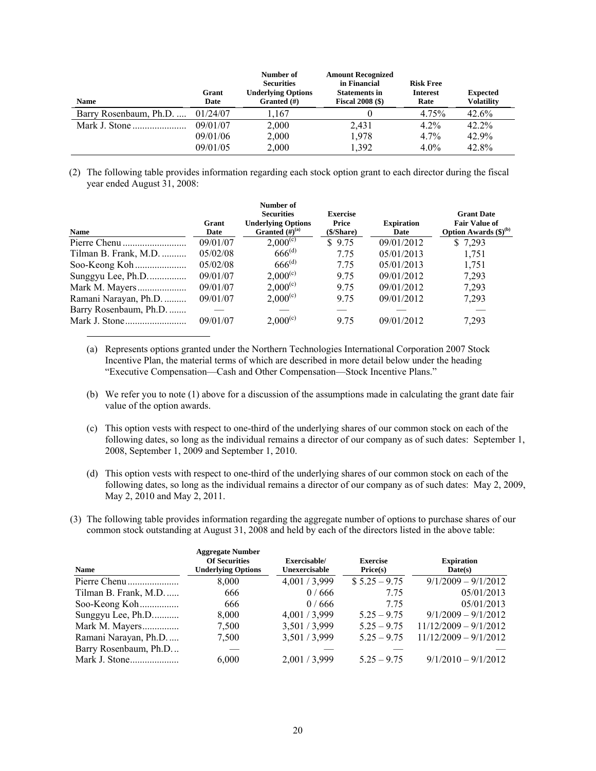| <b>Name</b>            | Grant<br>Date | Number of<br><b>Securities</b><br><b>Underlying Options</b><br>Granted $(\#)$ | <b>Amount Recognized</b><br>in Financial<br><b>Statements in</b><br><b>Fiscal 2008 (\$)</b> | <b>Risk Free</b><br><b>Interest</b><br>Rate | <b>Expected</b><br><b>Volatility</b> |
|------------------------|---------------|-------------------------------------------------------------------------------|---------------------------------------------------------------------------------------------|---------------------------------------------|--------------------------------------|
| Barry Rosenbaum, Ph.D. | 01/24/07      | 1.167                                                                         |                                                                                             | 4.75%                                       | 42.6%                                |
|                        | 09/01/07      | 2,000                                                                         | 2,431                                                                                       | $4.2\%$                                     | 42.2%                                |
|                        | 09/01/06      | 2,000                                                                         | 1,978                                                                                       | $4.7\%$                                     | 42.9%                                |
|                        | 09/01/05      | 2,000                                                                         | 1.392                                                                                       | $4.0\%$                                     | 42.8%                                |

(2) The following table provides information regarding each stock option grant to each director during the fiscal year ended August 31, 2008:

| <b>Name</b>            | Grant<br>Date | Number of<br><b>Securities</b><br><b>Underlying Options</b><br>Granted $(H)^{(a)}$ | <b>Exercise</b><br>Price<br>(\$/Share) | <b>Expiration</b><br>Date | <b>Grant Date</b><br><b>Fair Value of</b><br>Option Awards $(\boldsymbol{\$})^{(b)}$ |
|------------------------|---------------|------------------------------------------------------------------------------------|----------------------------------------|---------------------------|--------------------------------------------------------------------------------------|
|                        | 09/01/07      | $2,000^{(c)}$                                                                      | \$9.75                                 | 09/01/2012                | \$7,293                                                                              |
| Tilman B. Frank, M.D.  | 05/02/08      | $666^{(d)}$                                                                        | 7.75                                   | 05/01/2013                | 1,751                                                                                |
|                        | 05/02/08      | $666^{(d)}$                                                                        | 7.75                                   | 05/01/2013                | 1,751                                                                                |
| Sunggyu Lee, Ph.D      | 09/01/07      | $2,000^{(c)}$                                                                      | 9.75                                   | 09/01/2012                | 7,293                                                                                |
|                        | 09/01/07      | $2,000^{(c)}$                                                                      | 9.75                                   | 09/01/2012                | 7,293                                                                                |
| Ramani Narayan, Ph.D.  | 09/01/07      | $2,000^{(c)}$                                                                      | 9.75                                   | 09/01/2012                | 7,293                                                                                |
| Barry Rosenbaum, Ph.D. |               |                                                                                    |                                        |                           |                                                                                      |
|                        | 09/01/07      | $2,000^{(c)}$                                                                      | 9.75                                   | 09/01/2012                | 7,293                                                                                |

- (a) Represents options granted under the Northern Technologies International Corporation 2007 Stock Incentive Plan, the material terms of which are described in more detail below under the heading "Executive Compensation—Cash and Other Compensation—Stock Incentive Plans."
- (b) We refer you to note (1) above for a discussion of the assumptions made in calculating the grant date fair value of the option awards.
- (c) This option vests with respect to one-third of the underlying shares of our common stock on each of the following dates, so long as the individual remains a director of our company as of such dates: September 1, 2008, September 1, 2009 and September 1, 2010.
- (d) This option vests with respect to one-third of the underlying shares of our common stock on each of the following dates, so long as the individual remains a director of our company as of such dates: May 2, 2009, May 2, 2010 and May 2, 2011.
- (3) The following table provides information regarding the aggregate number of options to purchase shares of our common stock outstanding at August 31, 2008 and held by each of the directors listed in the above table:

| Name                  | <b>Aggregate Number</b><br><b>Of Securities</b><br><b>Underlying Options</b> | Exercisable/<br>Unexercisable | <b>Exercise</b><br>Price(s) | <b>Expiration</b><br>Date(s) |
|-----------------------|------------------------------------------------------------------------------|-------------------------------|-----------------------------|------------------------------|
|                       | 8,000                                                                        | 4,001/3,999                   | $$5.25 - 9.75$              | $9/1/2009 - 9/1/2012$        |
| Tilman B. Frank, M.D  | 666                                                                          | 0/666                         | 7.75                        | 05/01/2013                   |
| Soo-Keong Koh         | 666                                                                          | 0/666                         | 7.75                        | 05/01/2013                   |
| Sunggyu Lee, Ph.D     | 8,000                                                                        | 4,001/3,999                   | $5.25 - 9.75$               | $9/1/2009 - 9/1/2012$        |
| Mark M. Mayers        | 7,500                                                                        | 3,501/3,999                   | $5.25 - 9.75$               | $11/12/2009 - 9/1/2012$      |
| Ramani Narayan, Ph.D  | 7,500                                                                        | 3,501/3,999                   | $5.25 - 9.75$               | $11/12/2009 - 9/1/2012$      |
| Barry Rosenbaum, Ph.D |                                                                              |                               |                             |                              |
|                       | 6,000                                                                        | 2,001/3,999                   | $5.25 - 9.75$               | $9/1/2010 - 9/1/2012$        |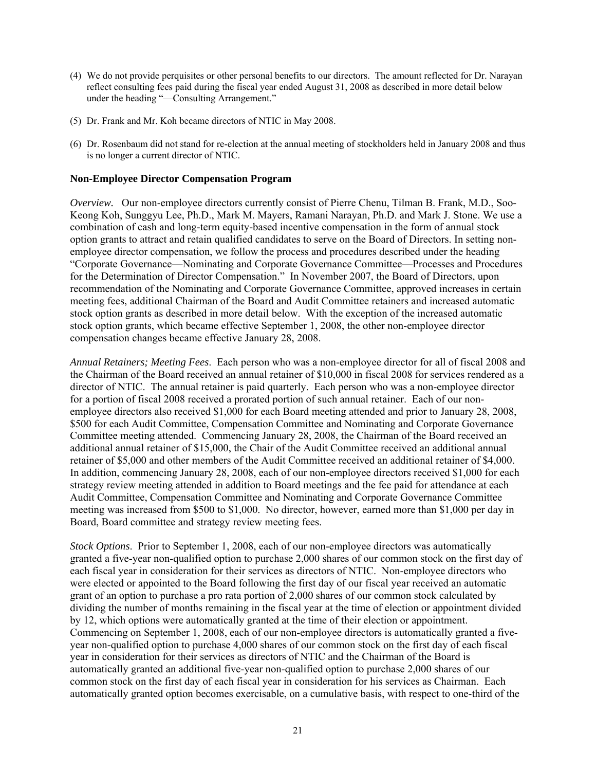- (4) We do not provide perquisites or other personal benefits to our directors. The amount reflected for Dr. Narayan reflect consulting fees paid during the fiscal year ended August 31, 2008 as described in more detail below under the heading "-Consulting Arrangement."
- (5) Dr. Frank and Mr. Koh became directors of NTIC in May 2008.
- (6) Dr. Rosenbaum did not stand for re-election at the annual meeting of stockholders held in January 2008 and thus is no longer a current director of NTIC.

#### **Non-Employee Director Compensation Program**

*Overview.* Our non-employee directors currently consist of Pierre Chenu, Tilman B. Frank, M.D., Soo-Keong Koh, Sunggyu Lee, Ph.D., Mark M. Mayers, Ramani Narayan, Ph.D. and Mark J. Stone. We use a combination of cash and long-term equity-based incentive compensation in the form of annual stock option grants to attract and retain qualified candidates to serve on the Board of Directors. In setting nonemployee director compensation, we follow the process and procedures described under the heading "Corporate Governance—Nominating and Corporate Governance Committee—Processes and Procedures for the Determination of Director Compensation." In November 2007, the Board of Directors, upon recommendation of the Nominating and Corporate Governance Committee, approved increases in certain meeting fees, additional Chairman of the Board and Audit Committee retainers and increased automatic stock option grants as described in more detail below. With the exception of the increased automatic stock option grants, which became effective September 1, 2008, the other non-employee director compensation changes became effective January 28, 2008.

*Annual Retainers; Meeting Fees*. Each person who was a non-employee director for all of fiscal 2008 and the Chairman of the Board received an annual retainer of \$10,000 in fiscal 2008 for services rendered as a director of NTIC. The annual retainer is paid quarterly. Each person who was a non-employee director for a portion of fiscal 2008 received a prorated portion of such annual retainer. Each of our nonemployee directors also received \$1,000 for each Board meeting attended and prior to January 28, 2008, \$500 for each Audit Committee, Compensation Committee and Nominating and Corporate Governance Committee meeting attended. Commencing January 28, 2008, the Chairman of the Board received an additional annual retainer of \$15,000, the Chair of the Audit Committee received an additional annual retainer of \$5,000 and other members of the Audit Committee received an additional retainer of \$4,000. In addition, commencing January 28, 2008, each of our non-employee directors received \$1,000 for each strategy review meeting attended in addition to Board meetings and the fee paid for attendance at each Audit Committee, Compensation Committee and Nominating and Corporate Governance Committee meeting was increased from \$500 to \$1,000. No director, however, earned more than \$1,000 per day in Board, Board committee and strategy review meeting fees.

*Stock Options*. Prior to September 1, 2008, each of our non-employee directors was automatically granted a five-year non-qualified option to purchase 2,000 shares of our common stock on the first day of each fiscal year in consideration for their services as directors of NTIC. Non-employee directors who were elected or appointed to the Board following the first day of our fiscal year received an automatic grant of an option to purchase a pro rata portion of 2,000 shares of our common stock calculated by dividing the number of months remaining in the fiscal year at the time of election or appointment divided by 12, which options were automatically granted at the time of their election or appointment. Commencing on September 1, 2008, each of our non-employee directors is automatically granted a fiveyear non-qualified option to purchase 4,000 shares of our common stock on the first day of each fiscal year in consideration for their services as directors of NTIC and the Chairman of the Board is automatically granted an additional five-year non-qualified option to purchase 2,000 shares of our common stock on the first day of each fiscal year in consideration for his services as Chairman. Each automatically granted option becomes exercisable, on a cumulative basis, with respect to one-third of the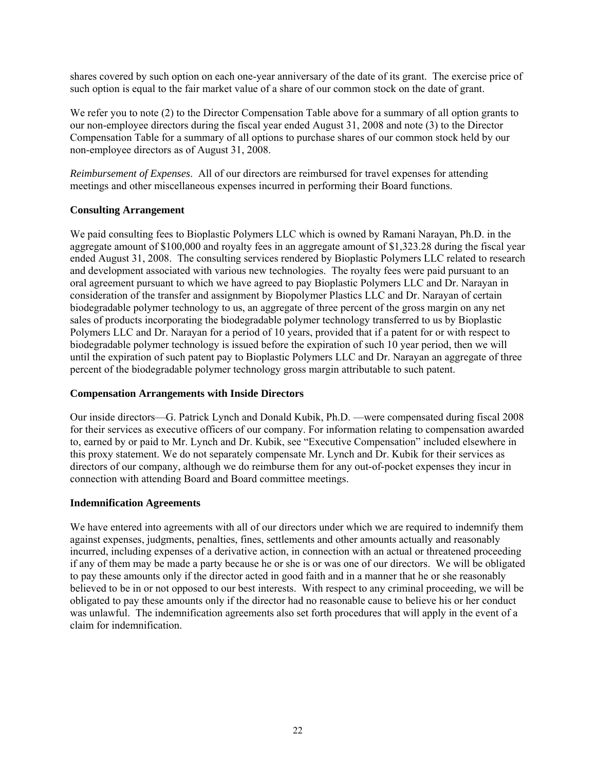shares covered by such option on each one-year anniversary of the date of its grant. The exercise price of such option is equal to the fair market value of a share of our common stock on the date of grant.

We refer you to note (2) to the Director Compensation Table above for a summary of all option grants to our non-employee directors during the fiscal year ended August 31, 2008 and note (3) to the Director Compensation Table for a summary of all options to purchase shares of our common stock held by our non-employee directors as of August 31, 2008.

*Reimbursement of Expenses*. All of our directors are reimbursed for travel expenses for attending meetings and other miscellaneous expenses incurred in performing their Board functions.

# **Consulting Arrangement**

We paid consulting fees to Bioplastic Polymers LLC which is owned by Ramani Narayan, Ph.D. in the aggregate amount of \$100,000 and royalty fees in an aggregate amount of \$1,323.28 during the fiscal year ended August 31, 2008. The consulting services rendered by Bioplastic Polymers LLC related to research and development associated with various new technologies. The royalty fees were paid pursuant to an oral agreement pursuant to which we have agreed to pay Bioplastic Polymers LLC and Dr. Narayan in consideration of the transfer and assignment by Biopolymer Plastics LLC and Dr. Narayan of certain biodegradable polymer technology to us, an aggregate of three percent of the gross margin on any net sales of products incorporating the biodegradable polymer technology transferred to us by Bioplastic Polymers LLC and Dr. Narayan for a period of 10 years, provided that if a patent for or with respect to biodegradable polymer technology is issued before the expiration of such 10 year period, then we will until the expiration of such patent pay to Bioplastic Polymers LLC and Dr. Narayan an aggregate of three percent of the biodegradable polymer technology gross margin attributable to such patent.

## **Compensation Arrangements with Inside Directors**

Our inside directors—G. Patrick Lynch and Donald Kubik, Ph.D. —were compensated during fiscal 2008 for their services as executive officers of our company. For information relating to compensation awarded to, earned by or paid to Mr. Lynch and Dr. Kubik, see "Executive Compensation" included elsewhere in this proxy statement. We do not separately compensate Mr. Lynch and Dr. Kubik for their services as directors of our company, although we do reimburse them for any out-of-pocket expenses they incur in connection with attending Board and Board committee meetings.

## **Indemnification Agreements**

We have entered into agreements with all of our directors under which we are required to indemnify them against expenses, judgments, penalties, fines, settlements and other amounts actually and reasonably incurred, including expenses of a derivative action, in connection with an actual or threatened proceeding if any of them may be made a party because he or she is or was one of our directors. We will be obligated to pay these amounts only if the director acted in good faith and in a manner that he or she reasonably believed to be in or not opposed to our best interests. With respect to any criminal proceeding, we will be obligated to pay these amounts only if the director had no reasonable cause to believe his or her conduct was unlawful. The indemnification agreements also set forth procedures that will apply in the event of a claim for indemnification.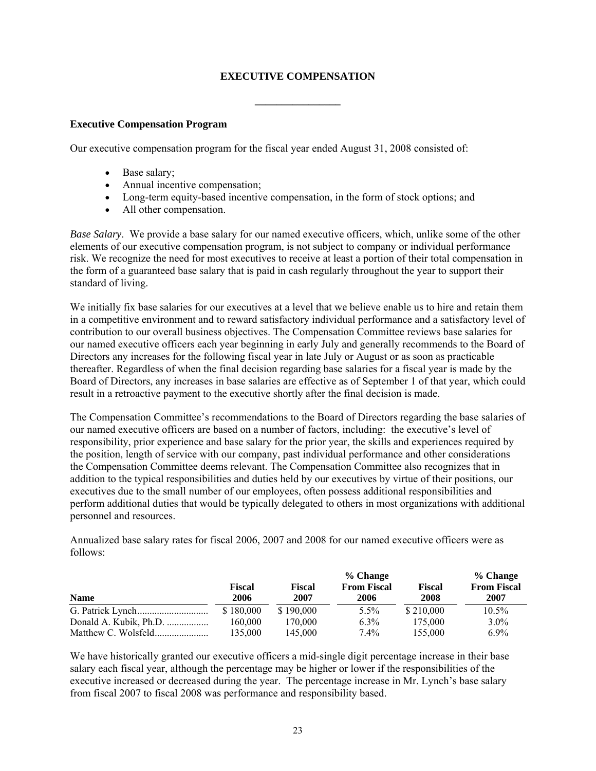# **EXECUTIVE COMPENSATION**

**\_\_\_\_\_\_\_\_\_\_\_\_\_\_\_\_** 

#### **Executive Compensation Program**

Our executive compensation program for the fiscal year ended August 31, 2008 consisted of:

- Base salary;
- Annual incentive compensation:
- Long-term equity-based incentive compensation, in the form of stock options; and
- All other compensation.

*Base Salary*. We provide a base salary for our named executive officers, which, unlike some of the other elements of our executive compensation program, is not subject to company or individual performance risk. We recognize the need for most executives to receive at least a portion of their total compensation in the form of a guaranteed base salary that is paid in cash regularly throughout the year to support their standard of living.

We initially fix base salaries for our executives at a level that we believe enable us to hire and retain them in a competitive environment and to reward satisfactory individual performance and a satisfactory level of contribution to our overall business objectives. The Compensation Committee reviews base salaries for our named executive officers each year beginning in early July and generally recommends to the Board of Directors any increases for the following fiscal year in late July or August or as soon as practicable thereafter. Regardless of when the final decision regarding base salaries for a fiscal year is made by the Board of Directors, any increases in base salaries are effective as of September 1 of that year, which could result in a retroactive payment to the executive shortly after the final decision is made.

The Compensation Committee's recommendations to the Board of Directors regarding the base salaries of our named executive officers are based on a number of factors, including: the executive's level of responsibility, prior experience and base salary for the prior year, the skills and experiences required by the position, length of service with our company, past individual performance and other considerations the Compensation Committee deems relevant. The Compensation Committee also recognizes that in addition to the typical responsibilities and duties held by our executives by virtue of their positions, our executives due to the small number of our employees, often possess additional responsibilities and perform additional duties that would be typically delegated to others in most organizations with additional personnel and resources.

Annualized base salary rates for fiscal 2006, 2007 and 2008 for our named executive officers were as follows:

|                        |           |           | % Change           |               | % Change           |
|------------------------|-----------|-----------|--------------------|---------------|--------------------|
|                        | Fiscal    | Fiscal    | <b>From Fiscal</b> | <b>Fiscal</b> | <b>From Fiscal</b> |
| <b>Name</b>            | 2006      | 2007      | 2006               | 2008          | 2007               |
|                        | \$180,000 | \$190,000 | $5.5\%$            | \$210,000     | $10.5\%$           |
| Donald A. Kubik, Ph.D. | 160.000   | 170.000   | $6.3\%$            | 175,000       | $3.0\%$            |
|                        | 135,000   | 145,000   | $7.4\%$            | 155,000       | $6.9\%$            |

We have historically granted our executive officers a mid-single digit percentage increase in their base salary each fiscal year, although the percentage may be higher or lower if the responsibilities of the executive increased or decreased during the year. The percentage increase in Mr. Lynch's base salary from fiscal 2007 to fiscal 2008 was performance and responsibility based.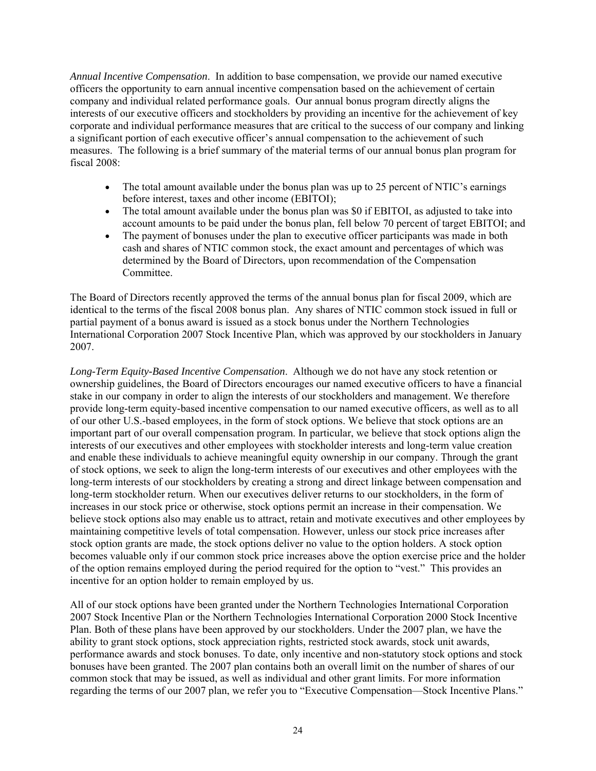*Annual Incentive Compensation*. In addition to base compensation, we provide our named executive officers the opportunity to earn annual incentive compensation based on the achievement of certain company and individual related performance goals. Our annual bonus program directly aligns the interests of our executive officers and stockholders by providing an incentive for the achievement of key corporate and individual performance measures that are critical to the success of our company and linking a significant portion of each executive officer's annual compensation to the achievement of such measures. The following is a brief summary of the material terms of our annual bonus plan program for fiscal 2008:

- The total amount available under the bonus plan was up to 25 percent of NTIC's earnings before interest, taxes and other income (EBITOI);
- The total amount available under the bonus plan was \$0 if EBITOI, as adjusted to take into account amounts to be paid under the bonus plan, fell below 70 percent of target EBITOI; and
- The payment of bonuses under the plan to executive officer participants was made in both cash and shares of NTIC common stock, the exact amount and percentages of which was determined by the Board of Directors, upon recommendation of the Compensation Committee.

The Board of Directors recently approved the terms of the annual bonus plan for fiscal 2009, which are identical to the terms of the fiscal 2008 bonus plan. Any shares of NTIC common stock issued in full or partial payment of a bonus award is issued as a stock bonus under the Northern Technologies International Corporation 2007 Stock Incentive Plan, which was approved by our stockholders in January 2007.

*Long-Term Equity-Based Incentive Compensation*. Although we do not have any stock retention or ownership guidelines, the Board of Directors encourages our named executive officers to have a financial stake in our company in order to align the interests of our stockholders and management. We therefore provide long-term equity-based incentive compensation to our named executive officers, as well as to all of our other U.S.-based employees, in the form of stock options. We believe that stock options are an important part of our overall compensation program. In particular, we believe that stock options align the interests of our executives and other employees with stockholder interests and long-term value creation and enable these individuals to achieve meaningful equity ownership in our company. Through the grant of stock options, we seek to align the long-term interests of our executives and other employees with the long-term interests of our stockholders by creating a strong and direct linkage between compensation and long-term stockholder return. When our executives deliver returns to our stockholders, in the form of increases in our stock price or otherwise, stock options permit an increase in their compensation. We believe stock options also may enable us to attract, retain and motivate executives and other employees by maintaining competitive levels of total compensation. However, unless our stock price increases after stock option grants are made, the stock options deliver no value to the option holders. A stock option becomes valuable only if our common stock price increases above the option exercise price and the holder of the option remains employed during the period required for the option to "vest." This provides an incentive for an option holder to remain employed by us.

All of our stock options have been granted under the Northern Technologies International Corporation 2007 Stock Incentive Plan or the Northern Technologies International Corporation 2000 Stock Incentive Plan. Both of these plans have been approved by our stockholders. Under the 2007 plan, we have the ability to grant stock options, stock appreciation rights, restricted stock awards, stock unit awards, performance awards and stock bonuses. To date, only incentive and non-statutory stock options and stock bonuses have been granted. The 2007 plan contains both an overall limit on the number of shares of our common stock that may be issued, as well as individual and other grant limits. For more information regarding the terms of our 2007 plan, we refer you to "Executive Compensation—Stock Incentive Plans."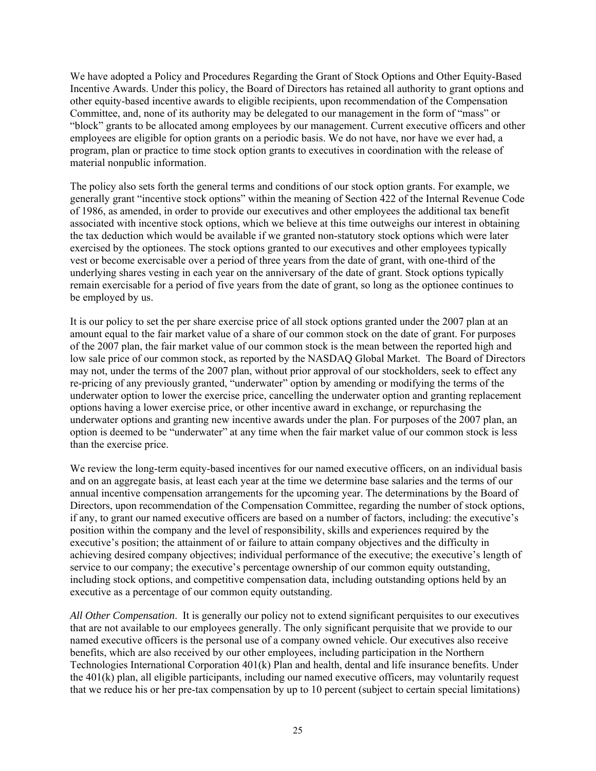We have adopted a Policy and Procedures Regarding the Grant of Stock Options and Other Equity-Based Incentive Awards. Under this policy, the Board of Directors has retained all authority to grant options and other equity-based incentive awards to eligible recipients, upon recommendation of the Compensation Committee, and, none of its authority may be delegated to our management in the form of "mass" or "block" grants to be allocated among employees by our management. Current executive officers and other employees are eligible for option grants on a periodic basis. We do not have, nor have we ever had, a program, plan or practice to time stock option grants to executives in coordination with the release of material nonpublic information.

The policy also sets forth the general terms and conditions of our stock option grants. For example, we generally grant "incentive stock options" within the meaning of Section 422 of the Internal Revenue Code of 1986, as amended, in order to provide our executives and other employees the additional tax benefit associated with incentive stock options, which we believe at this time outweighs our interest in obtaining the tax deduction which would be available if we granted non-statutory stock options which were later exercised by the optionees. The stock options granted to our executives and other employees typically vest or become exercisable over a period of three years from the date of grant, with one-third of the underlying shares vesting in each year on the anniversary of the date of grant. Stock options typically remain exercisable for a period of five years from the date of grant, so long as the optionee continues to be employed by us.

It is our policy to set the per share exercise price of all stock options granted under the 2007 plan at an amount equal to the fair market value of a share of our common stock on the date of grant. For purposes of the 2007 plan, the fair market value of our common stock is the mean between the reported high and low sale price of our common stock, as reported by the NASDAQ Global Market. The Board of Directors may not, under the terms of the 2007 plan, without prior approval of our stockholders, seek to effect any re-pricing of any previously granted, "underwater" option by amending or modifying the terms of the underwater option to lower the exercise price, cancelling the underwater option and granting replacement options having a lower exercise price, or other incentive award in exchange, or repurchasing the underwater options and granting new incentive awards under the plan. For purposes of the 2007 plan, an option is deemed to be "underwater" at any time when the fair market value of our common stock is less than the exercise price.

We review the long-term equity-based incentives for our named executive officers, on an individual basis and on an aggregate basis, at least each year at the time we determine base salaries and the terms of our annual incentive compensation arrangements for the upcoming year. The determinations by the Board of Directors, upon recommendation of the Compensation Committee, regarding the number of stock options, if any, to grant our named executive officers are based on a number of factors, including: the executive's position within the company and the level of responsibility, skills and experiences required by the executive's position; the attainment of or failure to attain company objectives and the difficulty in achieving desired company objectives; individual performance of the executive; the executive's length of service to our company; the executive's percentage ownership of our common equity outstanding, including stock options, and competitive compensation data, including outstanding options held by an executive as a percentage of our common equity outstanding.

*All Other Compensation*. It is generally our policy not to extend significant perquisites to our executives that are not available to our employees generally. The only significant perquisite that we provide to our named executive officers is the personal use of a company owned vehicle. Our executives also receive benefits, which are also received by our other employees, including participation in the Northern Technologies International Corporation 401(k) Plan and health, dental and life insurance benefits. Under the 401(k) plan, all eligible participants, including our named executive officers, may voluntarily request that we reduce his or her pre-tax compensation by up to 10 percent (subject to certain special limitations)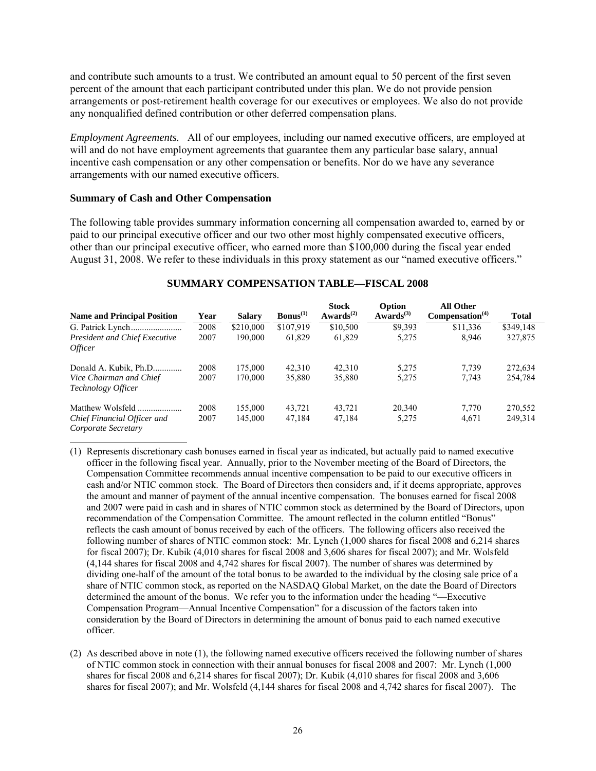and contribute such amounts to a trust. We contributed an amount equal to 50 percent of the first seven percent of the amount that each participant contributed under this plan. We do not provide pension arrangements or post-retirement health coverage for our executives or employees. We also do not provide any nonqualified defined contribution or other deferred compensation plans.

*Employment Agreements.* All of our employees, including our named executive officers, are employed at will and do not have employment agreements that guarantee them any particular base salary, annual incentive cash compensation or any other compensation or benefits. Nor do we have any severance arrangements with our named executive officers.

#### **Summary of Cash and Other Compensation**

The following table provides summary information concerning all compensation awarded to, earned by or paid to our principal executive officer and our two other most highly compensated executive officers, other than our principal executive officer, who earned more than \$100,000 during the fiscal year ended August 31, 2008. We refer to these individuals in this proxy statement as our "named executive officers."

| <b>Name and Principal Position</b>                     | Year | <b>Salary</b> | $\text{Bonus}^{(1)}$ | <b>Stock</b><br>Awards <sup><math>(2)</math></sup> | Option<br>Awards <sup>(3)</sup> | <b>All Other</b><br>Compensation <sup>(4)</sup> | <b>Total</b> |
|--------------------------------------------------------|------|---------------|----------------------|----------------------------------------------------|---------------------------------|-------------------------------------------------|--------------|
|                                                        | 2008 | \$210,000     | \$107.919            | \$10,500                                           | \$9.393                         | \$11,336                                        | \$349,148    |
| <b>President and Chief Executive</b><br><i>Officer</i> | 2007 | 190,000       | 61,829               | 61,829                                             | 5,275                           | 8.946                                           | 327,875      |
| Donald A. Kubik, Ph.D                                  | 2008 | 175,000       | 42.310               | 42,310                                             | 5.275                           | 7.739                                           | 272,634      |
| Vice Chairman and Chief<br>Technology Officer          | 2007 | 170,000       | 35,880               | 35,880                                             | 5,275                           | 7,743                                           | 254,784      |
| Matthew Wolsfeld                                       | 2008 | 155,000       | 43.721               | 43.721                                             | 20,340                          | 7.770                                           | 270,552      |
| Chief Financial Officer and<br>Corporate Secretary     | 2007 | 145,000       | 47,184               | 47,184                                             | 5,275                           | 4,671                                           | 249,314      |

#### **SUMMARY COMPENSATION TABLE—FISCAL 2008**

(1) Represents discretionary cash bonuses earned in fiscal year as indicated, but actually paid to named executive officer in the following fiscal year. Annually, prior to the November meeting of the Board of Directors, the Compensation Committee recommends annual incentive compensation to be paid to our executive officers in cash and/or NTIC common stock. The Board of Directors then considers and, if it deems appropriate, approves the amount and manner of payment of the annual incentive compensation. The bonuses earned for fiscal 2008 and 2007 were paid in cash and in shares of NTIC common stock as determined by the Board of Directors, upon recommendation of the Compensation Committee. The amount reflected in the column entitled "Bonus" reflects the cash amount of bonus received by each of the officers. The following officers also received the following number of shares of NTIC common stock: Mr. Lynch (1,000 shares for fiscal 2008 and 6,214 shares for fiscal 2007); Dr. Kubik (4,010 shares for fiscal 2008 and 3,606 shares for fiscal 2007); and Mr. Wolsfeld (4,144 shares for fiscal 2008 and 4,742 shares for fiscal 2007). The number of shares was determined by dividing one-half of the amount of the total bonus to be awarded to the individual by the closing sale price of a share of NTIC common stock, as reported on the NASDAQ Global Market, on the date the Board of Directors determined the amount of the bonus. We refer you to the information under the heading "—Executive Compensation Program—Annual Incentive Compensation" for a discussion of the factors taken into consideration by the Board of Directors in determining the amount of bonus paid to each named executive officer.

(2) As described above in note (1), the following named executive officers received the following number of shares of NTIC common stock in connection with their annual bonuses for fiscal 2008 and 2007: Mr. Lynch (1,000 shares for fiscal 2008 and 6,214 shares for fiscal 2007); Dr. Kubik (4,010 shares for fiscal 2008 and 3,606 shares for fiscal 2007); and Mr. Wolsfeld (4,144 shares for fiscal 2008 and 4,742 shares for fiscal 2007). The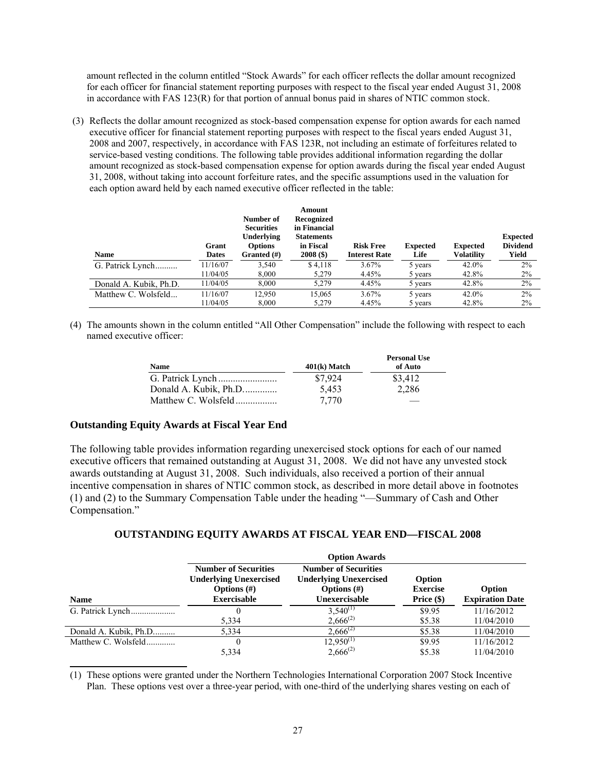amount reflected in the column entitled "Stock Awards" for each officer reflects the dollar amount recognized for each officer for financial statement reporting purposes with respect to the fiscal year ended August 31, 2008 in accordance with FAS 123(R) for that portion of annual bonus paid in shares of NTIC common stock.

 (3) Reflects the dollar amount recognized as stock-based compensation expense for option awards for each named executive officer for financial statement reporting purposes with respect to the fiscal years ended August 31, 2008 and 2007, respectively, in accordance with FAS 123R, not including an estimate of forfeitures related to service-based vesting conditions. The following table provides additional information regarding the dollar amount recognized as stock-based compensation expense for option awards during the fiscal year ended August 31, 2008, without taking into account forfeiture rates, and the specific assumptions used in the valuation for each option award held by each named executive officer reflected in the table:

| <b>Name</b>            | Grant<br><b>Dates</b> | Number of<br><b>Securities</b><br><b>Underlying</b><br><b>Options</b><br>Granted $(\#)$ | Amount<br>Recognized<br>in Financial<br><b>Statements</b><br>in Fiscal<br>$2008($ \$) | <b>Risk Free</b><br><b>Interest Rate</b> | <b>Expected</b><br>Life | <b>Expected</b><br>Volatility | <b>Expected</b><br><b>Dividend</b><br>Yield |
|------------------------|-----------------------|-----------------------------------------------------------------------------------------|---------------------------------------------------------------------------------------|------------------------------------------|-------------------------|-------------------------------|---------------------------------------------|
| G. Patrick Lynch       | 11/16/07              | 3,540                                                                                   | \$4,118                                                                               | $3.67\%$                                 | 5 years                 | 42.0%                         | 2%                                          |
|                        | 11/04/05              | 8,000                                                                                   | 5,279                                                                                 | 4.45%                                    | 5 years                 | 42.8%                         | 2%                                          |
| Donald A. Kubik, Ph.D. | 11/04/05              | 8.000                                                                                   | 5.279                                                                                 | 4.45%                                    | 5 years                 | 42.8%                         | 2%                                          |
| Matthew C. Wolsfeld    | 11/16/07              | 12,950                                                                                  | 15,065                                                                                | $3.67\%$                                 | 5 years                 | 42.0%                         | 2%                                          |
|                        | 11/04/05              | 8.000                                                                                   | 5.279                                                                                 | 4.45%                                    | 5 years                 | 42.8%                         | 2%                                          |

(4) The amounts shown in the column entitled "All Other Compensation" include the following with respect to each named executive officer:

| <b>Name</b>           | $401(k)$ Match | <b>Personal Use</b><br>of Auto |
|-----------------------|----------------|--------------------------------|
|                       | \$7,924        | \$3,412                        |
| Donald A. Kubik, Ph.D | 5,453          | 2,286                          |
|                       | 7.770          |                                |

## **Outstanding Equity Awards at Fiscal Year End**

The following table provides information regarding unexercised stock options for each of our named executive officers that remained outstanding at August 31, 2008. We did not have any unvested stock awards outstanding at August 31, 2008. Such individuals, also received a portion of their annual incentive compensation in shares of NTIC common stock, as described in more detail above in footnotes (1) and (2) to the Summary Compensation Table under the heading "—Summary of Cash and Other Compensation."

|                       | <b>Option Awards</b>                                                                                 |                                                                                                 |                                           |                                  |  |  |
|-----------------------|------------------------------------------------------------------------------------------------------|-------------------------------------------------------------------------------------------------|-------------------------------------------|----------------------------------|--|--|
| <b>Name</b>           | <b>Number of Securities</b><br><b>Underlying Unexercised</b><br>Options $(\#)$<br><b>Exercisable</b> | <b>Number of Securities</b><br><b>Underlying Unexercised</b><br>Options $(\#)$<br>Unexercisable | Option<br><b>Exercise</b><br>Price $(\$)$ | Option<br><b>Expiration Date</b> |  |  |
|                       |                                                                                                      | $3,540^{(1)}$                                                                                   | \$9.95                                    | 11/16/2012                       |  |  |
|                       | 5,334                                                                                                | $2,666^{(2)}$                                                                                   | \$5.38                                    | 11/04/2010                       |  |  |
| Donald A. Kubik, Ph.D | 5,334                                                                                                | $2,666^{(2)}$                                                                                   | \$5.38                                    | 11/04/2010                       |  |  |
| Matthew C. Wolsfeld   |                                                                                                      | $12,950^{(1)}$                                                                                  | \$9.95                                    | 11/16/2012                       |  |  |
|                       | 5,334                                                                                                | $2,666^{(2)}$                                                                                   | \$5.38                                    | 11/04/2010                       |  |  |

## **OUTSTANDING EQUITY AWARDS AT FISCAL YEAR END—FISCAL 2008**

(1) These options were granted under the Northern Technologies International Corporation 2007 Stock Incentive Plan. These options vest over a three-year period, with one-third of the underlying shares vesting on each of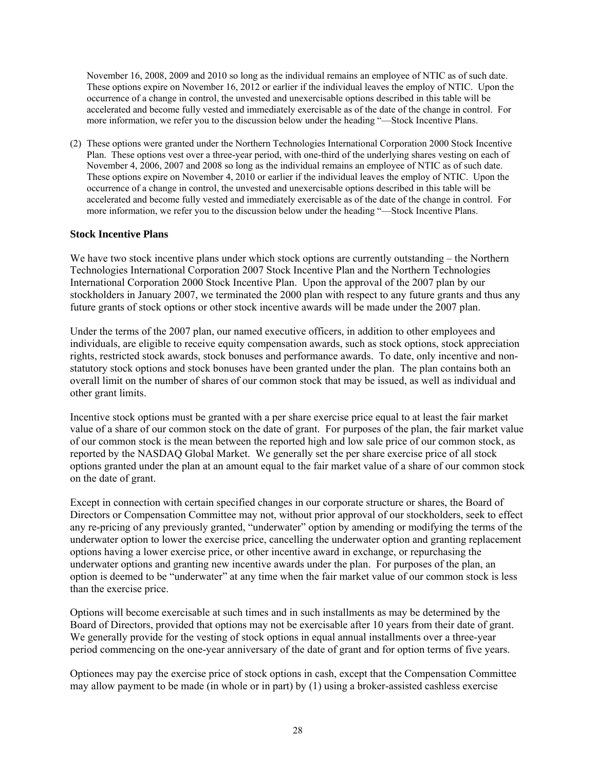November 16, 2008, 2009 and 2010 so long as the individual remains an employee of NTIC as of such date. These options expire on November 16, 2012 or earlier if the individual leaves the employ of NTIC. Upon the occurrence of a change in control, the unvested and unexercisable options described in this table will be accelerated and become fully vested and immediately exercisable as of the date of the change in control. For more information, we refer you to the discussion below under the heading "—Stock Incentive Plans.

(2) These options were granted under the Northern Technologies International Corporation 2000 Stock Incentive Plan. These options vest over a three-year period, with one-third of the underlying shares vesting on each of November 4, 2006, 2007 and 2008 so long as the individual remains an employee of NTIC as of such date. These options expire on November 4, 2010 or earlier if the individual leaves the employ of NTIC. Upon the occurrence of a change in control, the unvested and unexercisable options described in this table will be accelerated and become fully vested and immediately exercisable as of the date of the change in control. For more information, we refer you to the discussion below under the heading "—Stock Incentive Plans.

## **Stock Incentive Plans**

We have two stock incentive plans under which stock options are currently outstanding – the Northern Technologies International Corporation 2007 Stock Incentive Plan and the Northern Technologies International Corporation 2000 Stock Incentive Plan. Upon the approval of the 2007 plan by our stockholders in January 2007, we terminated the 2000 plan with respect to any future grants and thus any future grants of stock options or other stock incentive awards will be made under the 2007 plan.

Under the terms of the 2007 plan, our named executive officers, in addition to other employees and individuals, are eligible to receive equity compensation awards, such as stock options, stock appreciation rights, restricted stock awards, stock bonuses and performance awards. To date, only incentive and nonstatutory stock options and stock bonuses have been granted under the plan. The plan contains both an overall limit on the number of shares of our common stock that may be issued, as well as individual and other grant limits.

Incentive stock options must be granted with a per share exercise price equal to at least the fair market value of a share of our common stock on the date of grant. For purposes of the plan, the fair market value of our common stock is the mean between the reported high and low sale price of our common stock, as reported by the NASDAQ Global Market. We generally set the per share exercise price of all stock options granted under the plan at an amount equal to the fair market value of a share of our common stock on the date of grant.

Except in connection with certain specified changes in our corporate structure or shares, the Board of Directors or Compensation Committee may not, without prior approval of our stockholders, seek to effect any re-pricing of any previously granted, "underwater" option by amending or modifying the terms of the underwater option to lower the exercise price, cancelling the underwater option and granting replacement options having a lower exercise price, or other incentive award in exchange, or repurchasing the underwater options and granting new incentive awards under the plan. For purposes of the plan, an option is deemed to be "underwater" at any time when the fair market value of our common stock is less than the exercise price.

Options will become exercisable at such times and in such installments as may be determined by the Board of Directors, provided that options may not be exercisable after 10 years from their date of grant. We generally provide for the vesting of stock options in equal annual installments over a three-year period commencing on the one-year anniversary of the date of grant and for option terms of five years.

Optionees may pay the exercise price of stock options in cash, except that the Compensation Committee may allow payment to be made (in whole or in part) by (1) using a broker-assisted cashless exercise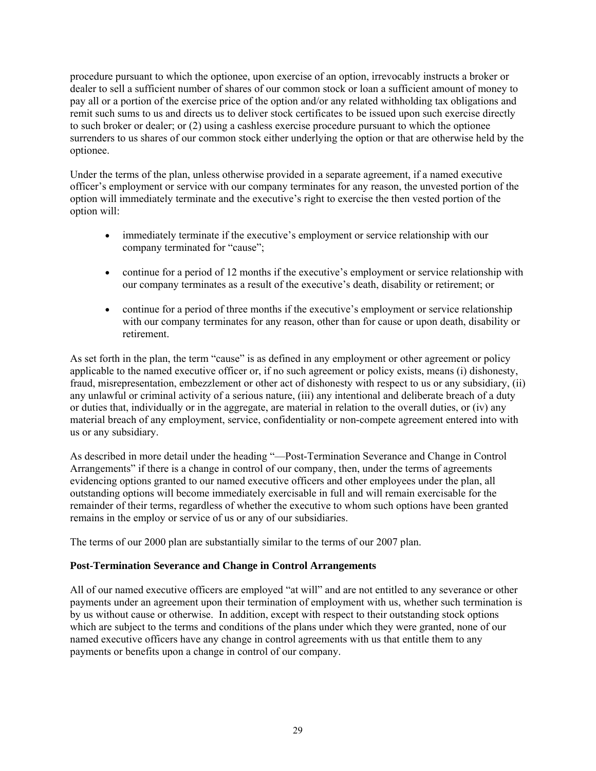procedure pursuant to which the optionee, upon exercise of an option, irrevocably instructs a broker or dealer to sell a sufficient number of shares of our common stock or loan a sufficient amount of money to pay all or a portion of the exercise price of the option and/or any related withholding tax obligations and remit such sums to us and directs us to deliver stock certificates to be issued upon such exercise directly to such broker or dealer; or (2) using a cashless exercise procedure pursuant to which the optionee surrenders to us shares of our common stock either underlying the option or that are otherwise held by the optionee.

Under the terms of the plan, unless otherwise provided in a separate agreement, if a named executive officer's employment or service with our company terminates for any reason, the unvested portion of the option will immediately terminate and the executive's right to exercise the then vested portion of the option will:

- immediately terminate if the executive's employment or service relationship with our company terminated for "cause";
- continue for a period of 12 months if the executive's employment or service relationship with our company terminates as a result of the executive's death, disability or retirement; or
- continue for a period of three months if the executive's employment or service relationship with our company terminates for any reason, other than for cause or upon death, disability or retirement.

As set forth in the plan, the term "cause" is as defined in any employment or other agreement or policy applicable to the named executive officer or, if no such agreement or policy exists, means (i) dishonesty, fraud, misrepresentation, embezzlement or other act of dishonesty with respect to us or any subsidiary, (ii) any unlawful or criminal activity of a serious nature, (iii) any intentional and deliberate breach of a duty or duties that, individually or in the aggregate, are material in relation to the overall duties, or (iv) any material breach of any employment, service, confidentiality or non-compete agreement entered into with us or any subsidiary.

As described in more detail under the heading "—Post-Termination Severance and Change in Control Arrangements" if there is a change in control of our company, then, under the terms of agreements evidencing options granted to our named executive officers and other employees under the plan, all outstanding options will become immediately exercisable in full and will remain exercisable for the remainder of their terms, regardless of whether the executive to whom such options have been granted remains in the employ or service of us or any of our subsidiaries.

The terms of our 2000 plan are substantially similar to the terms of our 2007 plan.

## **Post-Termination Severance and Change in Control Arrangements**

All of our named executive officers are employed "at will" and are not entitled to any severance or other payments under an agreement upon their termination of employment with us, whether such termination is by us without cause or otherwise. In addition, except with respect to their outstanding stock options which are subject to the terms and conditions of the plans under which they were granted, none of our named executive officers have any change in control agreements with us that entitle them to any payments or benefits upon a change in control of our company.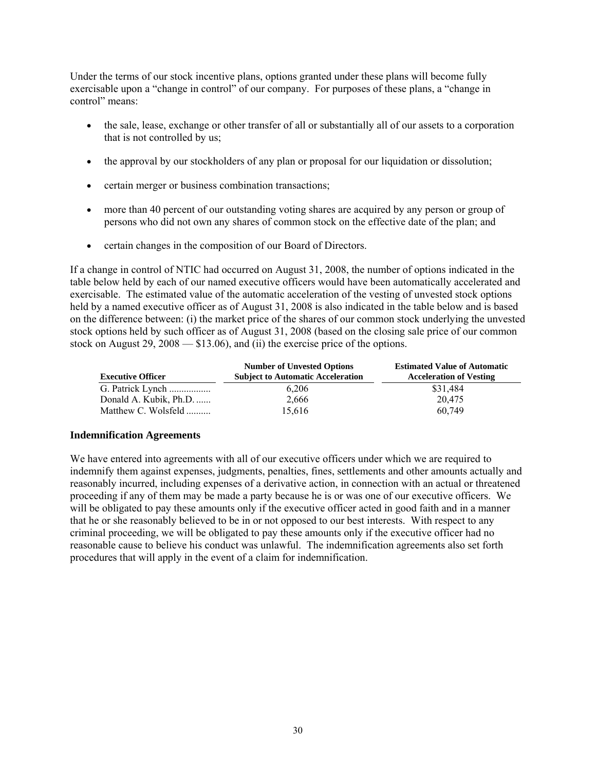Under the terms of our stock incentive plans, options granted under these plans will become fully exercisable upon a "change in control" of our company. For purposes of these plans, a "change in control" means:

- the sale, lease, exchange or other transfer of all or substantially all of our assets to a corporation that is not controlled by us;
- the approval by our stockholders of any plan or proposal for our liquidation or dissolution;
- certain merger or business combination transactions;
- more than 40 percent of our outstanding voting shares are acquired by any person or group of persons who did not own any shares of common stock on the effective date of the plan; and
- certain changes in the composition of our Board of Directors.

If a change in control of NTIC had occurred on August 31, 2008, the number of options indicated in the table below held by each of our named executive officers would have been automatically accelerated and exercisable. The estimated value of the automatic acceleration of the vesting of unvested stock options held by a named executive officer as of August 31, 2008 is also indicated in the table below and is based on the difference between: (i) the market price of the shares of our common stock underlying the unvested stock options held by such officer as of August 31, 2008 (based on the closing sale price of our common stock on August 29, 2008 — \$13.06), and (ii) the exercise price of the options.

| <b>Executive Officer</b> | <b>Number of Unvested Options</b><br><b>Subject to Automatic Acceleration</b> | <b>Estimated Value of Automatic</b><br><b>Acceleration of Vesting</b> |
|--------------------------|-------------------------------------------------------------------------------|-----------------------------------------------------------------------|
| G. Patrick Lynch         | 6,206                                                                         | \$31.484                                                              |
| Donald A. Kubik, Ph.D.   | 2,666                                                                         | 20.475                                                                |
| Matthew C. Wolsfeld      | 15.616                                                                        | 60.749                                                                |

## **Indemnification Agreements**

We have entered into agreements with all of our executive officers under which we are required to indemnify them against expenses, judgments, penalties, fines, settlements and other amounts actually and reasonably incurred, including expenses of a derivative action, in connection with an actual or threatened proceeding if any of them may be made a party because he is or was one of our executive officers. We will be obligated to pay these amounts only if the executive officer acted in good faith and in a manner that he or she reasonably believed to be in or not opposed to our best interests. With respect to any criminal proceeding, we will be obligated to pay these amounts only if the executive officer had no reasonable cause to believe his conduct was unlawful. The indemnification agreements also set forth procedures that will apply in the event of a claim for indemnification.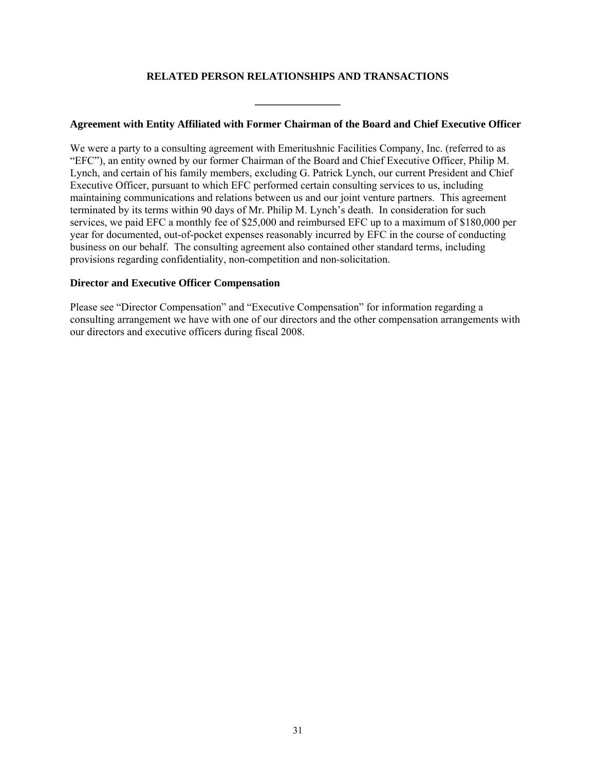# **RELATED PERSON RELATIONSHIPS AND TRANSACTIONS**

**\_\_\_\_\_\_\_\_\_\_\_\_\_\_\_\_** 

## **Agreement with Entity Affiliated with Former Chairman of the Board and Chief Executive Officer**

We were a party to a consulting agreement with Emeritushnic Facilities Company, Inc. (referred to as "EFC"), an entity owned by our former Chairman of the Board and Chief Executive Officer, Philip M. Lynch, and certain of his family members, excluding G. Patrick Lynch, our current President and Chief Executive Officer, pursuant to which EFC performed certain consulting services to us, including maintaining communications and relations between us and our joint venture partners. This agreement terminated by its terms within 90 days of Mr. Philip M. Lynch's death. In consideration for such services, we paid EFC a monthly fee of \$25,000 and reimbursed EFC up to a maximum of \$180,000 per year for documented, out-of-pocket expenses reasonably incurred by EFC in the course of conducting business on our behalf. The consulting agreement also contained other standard terms, including provisions regarding confidentiality, non-competition and non-solicitation.

#### **Director and Executive Officer Compensation**

Please see "Director Compensation" and "Executive Compensation" for information regarding a consulting arrangement we have with one of our directors and the other compensation arrangements with our directors and executive officers during fiscal 2008.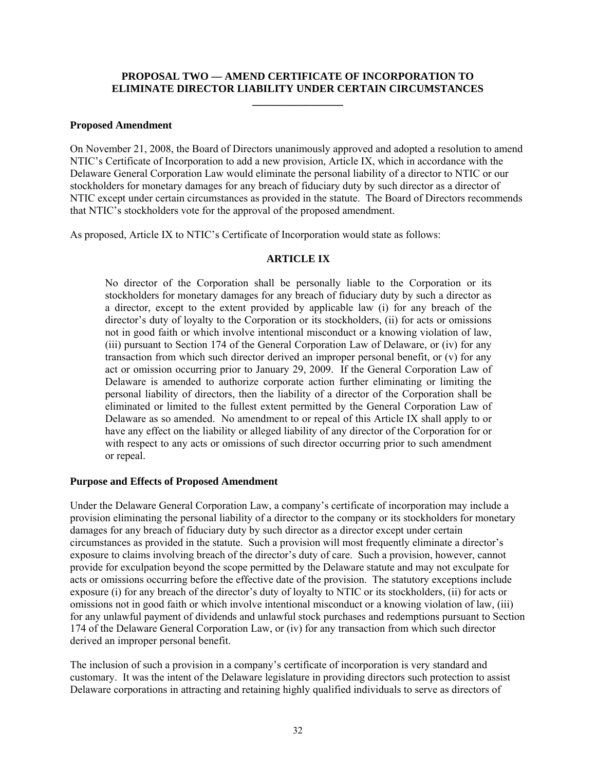# **PROPOSAL TWO — AMEND CERTIFICATE OF INCORPORATION TO ELIMINATE DIRECTOR LIABILITY UNDER CERTAIN CIRCUMSTANCES \_\_\_\_\_\_\_\_\_\_\_\_\_\_\_\_\_**

#### **Proposed Amendment**

On November 21, 2008, the Board of Directors unanimously approved and adopted a resolution to amend NTIC's Certificate of Incorporation to add a new provision, Article IX, which in accordance with the Delaware General Corporation Law would eliminate the personal liability of a director to NTIC or our stockholders for monetary damages for any breach of fiduciary duty by such director as a director of NTIC except under certain circumstances as provided in the statute. The Board of Directors recommends that NTIC's stockholders vote for the approval of the proposed amendment.

As proposed, Article IX to NTIC's Certificate of Incorporation would state as follows:

## **ARTICLE IX**

No director of the Corporation shall be personally liable to the Corporation or its stockholders for monetary damages for any breach of fiduciary duty by such a director as a director, except to the extent provided by applicable law (i) for any breach of the director's duty of loyalty to the Corporation or its stockholders, (ii) for acts or omissions not in good faith or which involve intentional misconduct or a knowing violation of law, (iii) pursuant to Section 174 of the General Corporation Law of Delaware, or (iv) for any transaction from which such director derived an improper personal benefit, or (v) for any act or omission occurring prior to January 29, 2009. If the General Corporation Law of Delaware is amended to authorize corporate action further eliminating or limiting the personal liability of directors, then the liability of a director of the Corporation shall be eliminated or limited to the fullest extent permitted by the General Corporation Law of Delaware as so amended. No amendment to or repeal of this Article IX shall apply to or have any effect on the liability or alleged liability of any director of the Corporation for or with respect to any acts or omissions of such director occurring prior to such amendment or repeal.

#### **Purpose and Effects of Proposed Amendment**

Under the Delaware General Corporation Law, a company's certificate of incorporation may include a provision eliminating the personal liability of a director to the company or its stockholders for monetary damages for any breach of fiduciary duty by such director as a director except under certain circumstances as provided in the statute. Such a provision will most frequently eliminate a director's exposure to claims involving breach of the director's duty of care. Such a provision, however, cannot provide for exculpation beyond the scope permitted by the Delaware statute and may not exculpate for acts or omissions occurring before the effective date of the provision. The statutory exceptions include exposure (i) for any breach of the director's duty of loyalty to NTIC or its stockholders, (ii) for acts or omissions not in good faith or which involve intentional misconduct or a knowing violation of law, (iii) for any unlawful payment of dividends and unlawful stock purchases and redemptions pursuant to Section 174 of the Delaware General Corporation Law, or (iv) for any transaction from which such director derived an improper personal benefit.

The inclusion of such a provision in a company's certificate of incorporation is very standard and customary. It was the intent of the Delaware legislature in providing directors such protection to assist Delaware corporations in attracting and retaining highly qualified individuals to serve as directors of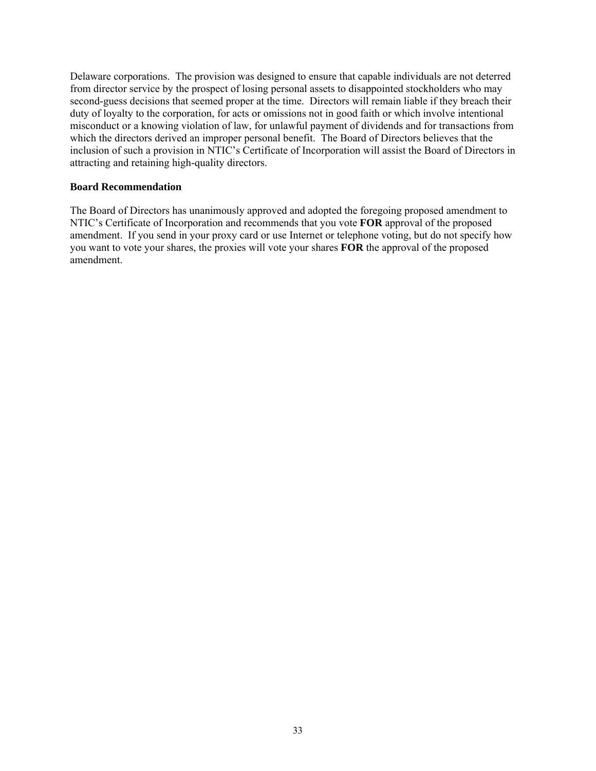Delaware corporations. The provision was designed to ensure that capable individuals are not deterred from director service by the prospect of losing personal assets to disappointed stockholders who may second-guess decisions that seemed proper at the time. Directors will remain liable if they breach their duty of loyalty to the corporation, for acts or omissions not in good faith or which involve intentional misconduct or a knowing violation of law, for unlawful payment of dividends and for transactions from which the directors derived an improper personal benefit. The Board of Directors believes that the inclusion of such a provision in NTIC's Certificate of Incorporation will assist the Board of Directors in attracting and retaining high-quality directors.

#### **Board Recommendation**

The Board of Directors has unanimously approved and adopted the foregoing proposed amendment to NTIC's Certificate of Incorporation and recommends that you vote **FOR** approval of the proposed amendment. If you send in your proxy card or use Internet or telephone voting, but do not specify how you want to vote your shares, the proxies will vote your shares **FOR** the approval of the proposed amendment.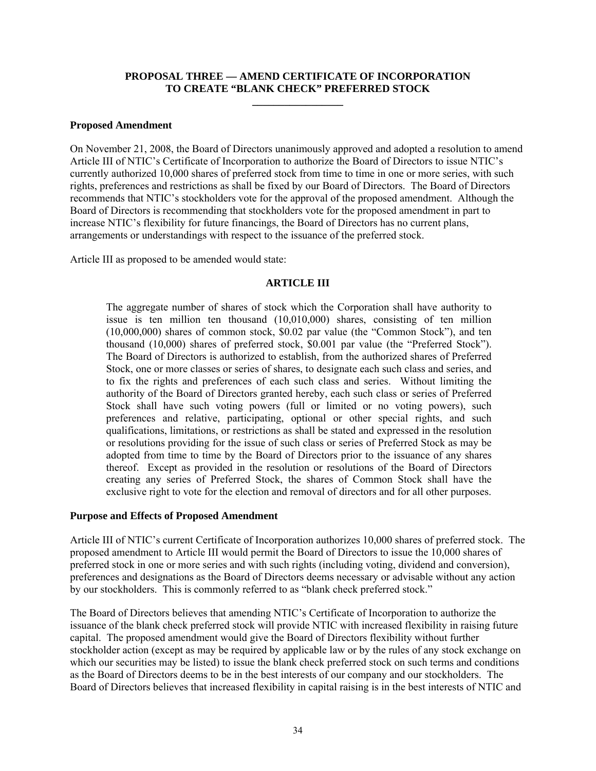## **PROPOSAL THREE — AMEND CERTIFICATE OF INCORPORATION TO CREATE "BLANK CHECK" PREFERRED STOCK**

**\_\_\_\_\_\_\_\_\_\_\_\_\_\_\_\_\_** 

#### **Proposed Amendment**

On November 21, 2008, the Board of Directors unanimously approved and adopted a resolution to amend Article III of NTIC's Certificate of Incorporation to authorize the Board of Directors to issue NTIC's currently authorized 10,000 shares of preferred stock from time to time in one or more series, with such rights, preferences and restrictions as shall be fixed by our Board of Directors. The Board of Directors recommends that NTIC's stockholders vote for the approval of the proposed amendment. Although the Board of Directors is recommending that stockholders vote for the proposed amendment in part to increase NTIC's flexibility for future financings, the Board of Directors has no current plans, arrangements or understandings with respect to the issuance of the preferred stock.

Article III as proposed to be amended would state:

## **ARTICLE III**

The aggregate number of shares of stock which the Corporation shall have authority to issue is ten million ten thousand (10,010,000) shares, consisting of ten million (10,000,000) shares of common stock, \$0.02 par value (the "Common Stock"), and ten thousand (10,000) shares of preferred stock, \$0.001 par value (the "Preferred Stock"). The Board of Directors is authorized to establish, from the authorized shares of Preferred Stock, one or more classes or series of shares, to designate each such class and series, and to fix the rights and preferences of each such class and series. Without limiting the authority of the Board of Directors granted hereby, each such class or series of Preferred Stock shall have such voting powers (full or limited or no voting powers), such preferences and relative, participating, optional or other special rights, and such qualifications, limitations, or restrictions as shall be stated and expressed in the resolution or resolutions providing for the issue of such class or series of Preferred Stock as may be adopted from time to time by the Board of Directors prior to the issuance of any shares thereof. Except as provided in the resolution or resolutions of the Board of Directors creating any series of Preferred Stock, the shares of Common Stock shall have the exclusive right to vote for the election and removal of directors and for all other purposes.

## **Purpose and Effects of Proposed Amendment**

Article III of NTIC's current Certificate of Incorporation authorizes 10,000 shares of preferred stock. The proposed amendment to Article III would permit the Board of Directors to issue the 10,000 shares of preferred stock in one or more series and with such rights (including voting, dividend and conversion), preferences and designations as the Board of Directors deems necessary or advisable without any action by our stockholders. This is commonly referred to as "blank check preferred stock."

The Board of Directors believes that amending NTIC's Certificate of Incorporation to authorize the issuance of the blank check preferred stock will provide NTIC with increased flexibility in raising future capital. The proposed amendment would give the Board of Directors flexibility without further stockholder action (except as may be required by applicable law or by the rules of any stock exchange on which our securities may be listed) to issue the blank check preferred stock on such terms and conditions as the Board of Directors deems to be in the best interests of our company and our stockholders. The Board of Directors believes that increased flexibility in capital raising is in the best interests of NTIC and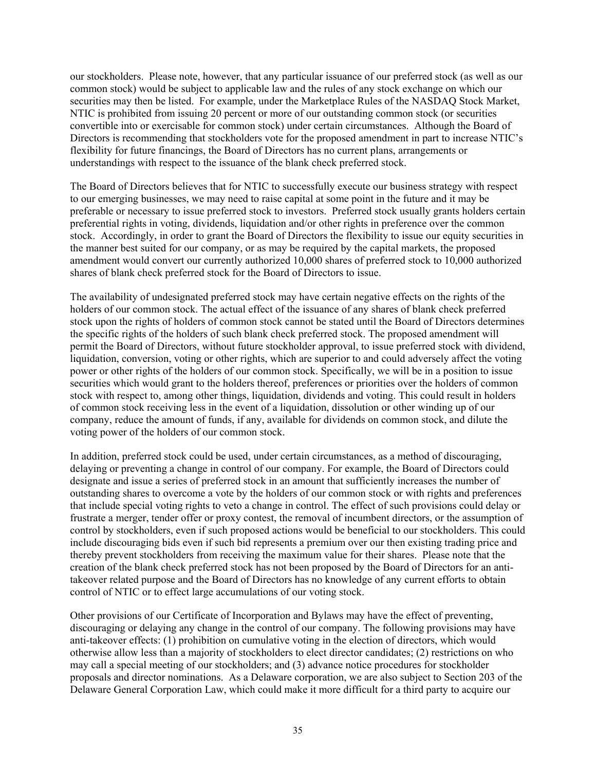our stockholders. Please note, however, that any particular issuance of our preferred stock (as well as our common stock) would be subject to applicable law and the rules of any stock exchange on which our securities may then be listed. For example, under the Marketplace Rules of the NASDAQ Stock Market, NTIC is prohibited from issuing 20 percent or more of our outstanding common stock (or securities convertible into or exercisable for common stock) under certain circumstances. Although the Board of Directors is recommending that stockholders vote for the proposed amendment in part to increase NTIC's flexibility for future financings, the Board of Directors has no current plans, arrangements or understandings with respect to the issuance of the blank check preferred stock.

The Board of Directors believes that for NTIC to successfully execute our business strategy with respect to our emerging businesses, we may need to raise capital at some point in the future and it may be preferable or necessary to issue preferred stock to investors. Preferred stock usually grants holders certain preferential rights in voting, dividends, liquidation and/or other rights in preference over the common stock. Accordingly, in order to grant the Board of Directors the flexibility to issue our equity securities in the manner best suited for our company, or as may be required by the capital markets, the proposed amendment would convert our currently authorized 10,000 shares of preferred stock to 10,000 authorized shares of blank check preferred stock for the Board of Directors to issue.

The availability of undesignated preferred stock may have certain negative effects on the rights of the holders of our common stock. The actual effect of the issuance of any shares of blank check preferred stock upon the rights of holders of common stock cannot be stated until the Board of Directors determines the specific rights of the holders of such blank check preferred stock. The proposed amendment will permit the Board of Directors, without future stockholder approval, to issue preferred stock with dividend, liquidation, conversion, voting or other rights, which are superior to and could adversely affect the voting power or other rights of the holders of our common stock. Specifically, we will be in a position to issue securities which would grant to the holders thereof, preferences or priorities over the holders of common stock with respect to, among other things, liquidation, dividends and voting. This could result in holders of common stock receiving less in the event of a liquidation, dissolution or other winding up of our company, reduce the amount of funds, if any, available for dividends on common stock, and dilute the voting power of the holders of our common stock.

In addition, preferred stock could be used, under certain circumstances, as a method of discouraging, delaying or preventing a change in control of our company. For example, the Board of Directors could designate and issue a series of preferred stock in an amount that sufficiently increases the number of outstanding shares to overcome a vote by the holders of our common stock or with rights and preferences that include special voting rights to veto a change in control. The effect of such provisions could delay or frustrate a merger, tender offer or proxy contest, the removal of incumbent directors, or the assumption of control by stockholders, even if such proposed actions would be beneficial to our stockholders. This could include discouraging bids even if such bid represents a premium over our then existing trading price and thereby prevent stockholders from receiving the maximum value for their shares. Please note that the creation of the blank check preferred stock has not been proposed by the Board of Directors for an antitakeover related purpose and the Board of Directors has no knowledge of any current efforts to obtain control of NTIC or to effect large accumulations of our voting stock.

Other provisions of our Certificate of Incorporation and Bylaws may have the effect of preventing, discouraging or delaying any change in the control of our company. The following provisions may have anti-takeover effects: (1) prohibition on cumulative voting in the election of directors, which would otherwise allow less than a majority of stockholders to elect director candidates; (2) restrictions on who may call a special meeting of our stockholders; and (3) advance notice procedures for stockholder proposals and director nominations. As a Delaware corporation, we are also subject to Section 203 of the Delaware General Corporation Law, which could make it more difficult for a third party to acquire our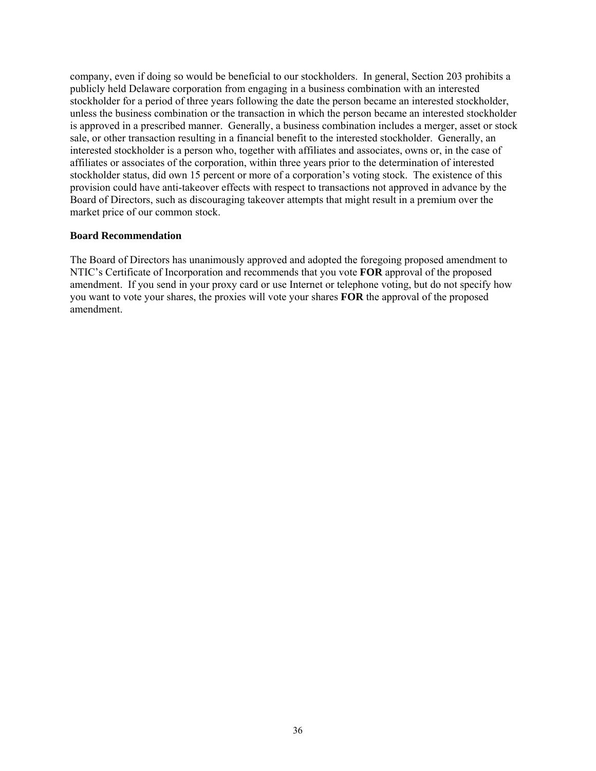company, even if doing so would be beneficial to our stockholders. In general, Section 203 prohibits a publicly held Delaware corporation from engaging in a business combination with an interested stockholder for a period of three years following the date the person became an interested stockholder, unless the business combination or the transaction in which the person became an interested stockholder is approved in a prescribed manner. Generally, a business combination includes a merger, asset or stock sale, or other transaction resulting in a financial benefit to the interested stockholder. Generally, an interested stockholder is a person who, together with affiliates and associates, owns or, in the case of affiliates or associates of the corporation, within three years prior to the determination of interested stockholder status, did own 15 percent or more of a corporation's voting stock. The existence of this provision could have anti-takeover effects with respect to transactions not approved in advance by the Board of Directors, such as discouraging takeover attempts that might result in a premium over the market price of our common stock.

## **Board Recommendation**

The Board of Directors has unanimously approved and adopted the foregoing proposed amendment to NTIC's Certificate of Incorporation and recommends that you vote **FOR** approval of the proposed amendment. If you send in your proxy card or use Internet or telephone voting, but do not specify how you want to vote your shares, the proxies will vote your shares **FOR** the approval of the proposed amendment.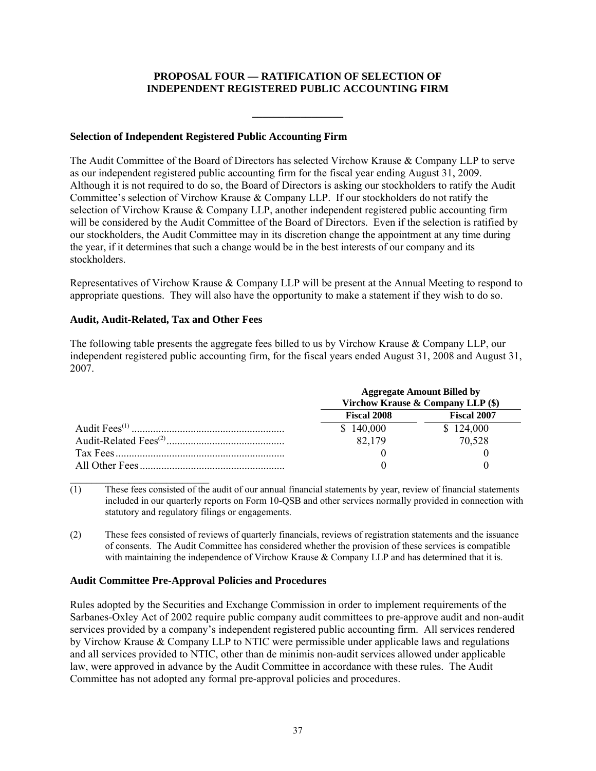# **PROPOSAL FOUR — RATIFICATION OF SELECTION OF INDEPENDENT REGISTERED PUBLIC ACCOUNTING FIRM**

**\_\_\_\_\_\_\_\_\_\_\_\_\_\_\_\_\_** 

# **Selection of Independent Registered Public Accounting Firm**

The Audit Committee of the Board of Directors has selected Virchow Krause & Company LLP to serve as our independent registered public accounting firm for the fiscal year ending August 31, 2009. Although it is not required to do so, the Board of Directors is asking our stockholders to ratify the Audit Committee's selection of Virchow Krause & Company LLP. If our stockholders do not ratify the selection of Virchow Krause & Company LLP, another independent registered public accounting firm will be considered by the Audit Committee of the Board of Directors. Even if the selection is ratified by our stockholders, the Audit Committee may in its discretion change the appointment at any time during the year, if it determines that such a change would be in the best interests of our company and its stockholders.

Representatives of Virchow Krause & Company LLP will be present at the Annual Meeting to respond to appropriate questions. They will also have the opportunity to make a statement if they wish to do so.

## **Audit, Audit-Related, Tax and Other Fees**

The following table presents the aggregate fees billed to us by Virchow Krause & Company LLP, our independent registered public accounting firm, for the fiscal years ended August 31, 2008 and August 31, 2007.

| <b>Aggregate Amount Billed by</b><br>Virchow Krause & Company LLP (\$) |                    |  |
|------------------------------------------------------------------------|--------------------|--|
| <b>Fiscal 2008</b>                                                     | <b>Fiscal 2007</b> |  |
| \$140,000                                                              | \$124,000          |  |
| 82,179                                                                 | 70,528             |  |
|                                                                        |                    |  |
|                                                                        |                    |  |

 $\mathcal{L}_\text{max}$  $\overline{(1)}$  These fees consisted of the audit of our annual financial statements by year, review of financial statements included in our quarterly reports on Form 10-QSB and other services normally provided in connection with statutory and regulatory filings or engagements.

(2) These fees consisted of reviews of quarterly financials, reviews of registration statements and the issuance of consents. The Audit Committee has considered whether the provision of these services is compatible with maintaining the independence of Virchow Krause & Company LLP and has determined that it is.

## **Audit Committee Pre-Approval Policies and Procedures**

Rules adopted by the Securities and Exchange Commission in order to implement requirements of the Sarbanes-Oxley Act of 2002 require public company audit committees to pre-approve audit and non-audit services provided by a company's independent registered public accounting firm. All services rendered by Virchow Krause & Company LLP to NTIC were permissible under applicable laws and regulations and all services provided to NTIC, other than de minimis non-audit services allowed under applicable law, were approved in advance by the Audit Committee in accordance with these rules. The Audit Committee has not adopted any formal pre-approval policies and procedures.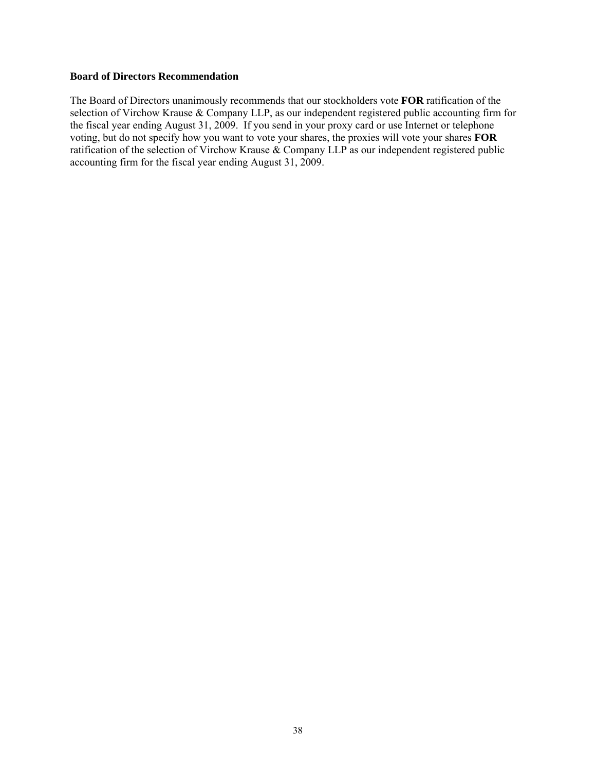#### **Board of Directors Recommendation**

The Board of Directors unanimously recommends that our stockholders vote **FOR** ratification of the selection of Virchow Krause & Company LLP, as our independent registered public accounting firm for the fiscal year ending August 31, 2009. If you send in your proxy card or use Internet or telephone voting, but do not specify how you want to vote your shares, the proxies will vote your shares **FOR** ratification of the selection of Virchow Krause & Company LLP as our independent registered public accounting firm for the fiscal year ending August 31, 2009.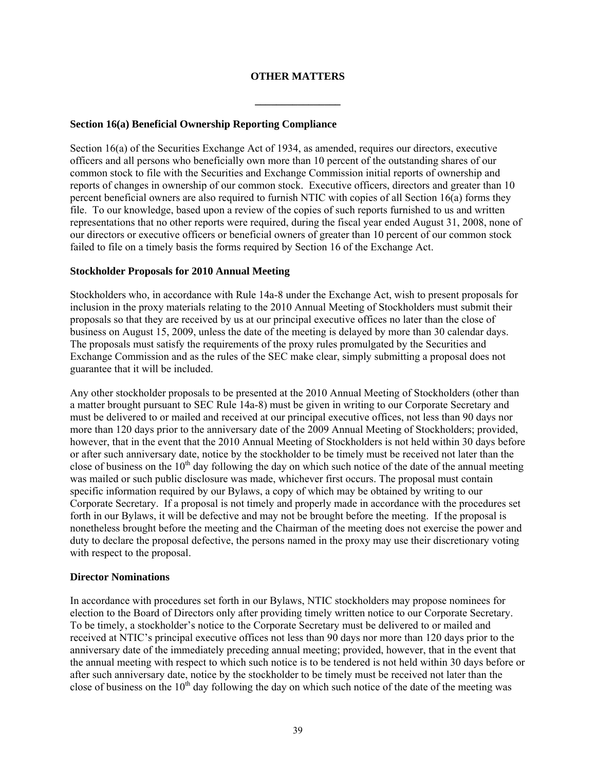# **OTHER MATTERS**

**\_\_\_\_\_\_\_\_\_\_\_\_\_\_\_\_** 

#### **Section 16(a) Beneficial Ownership Reporting Compliance**

Section 16(a) of the Securities Exchange Act of 1934, as amended, requires our directors, executive officers and all persons who beneficially own more than 10 percent of the outstanding shares of our common stock to file with the Securities and Exchange Commission initial reports of ownership and reports of changes in ownership of our common stock. Executive officers, directors and greater than 10 percent beneficial owners are also required to furnish NTIC with copies of all Section 16(a) forms they file. To our knowledge, based upon a review of the copies of such reports furnished to us and written representations that no other reports were required, during the fiscal year ended August 31, 2008, none of our directors or executive officers or beneficial owners of greater than 10 percent of our common stock failed to file on a timely basis the forms required by Section 16 of the Exchange Act.

#### **Stockholder Proposals for 2010 Annual Meeting**

Stockholders who, in accordance with Rule 14a-8 under the Exchange Act, wish to present proposals for inclusion in the proxy materials relating to the 2010 Annual Meeting of Stockholders must submit their proposals so that they are received by us at our principal executive offices no later than the close of business on August 15, 2009, unless the date of the meeting is delayed by more than 30 calendar days. The proposals must satisfy the requirements of the proxy rules promulgated by the Securities and Exchange Commission and as the rules of the SEC make clear, simply submitting a proposal does not guarantee that it will be included.

Any other stockholder proposals to be presented at the 2010 Annual Meeting of Stockholders (other than a matter brought pursuant to SEC Rule 14a-8) must be given in writing to our Corporate Secretary and must be delivered to or mailed and received at our principal executive offices, not less than 90 days nor more than 120 days prior to the anniversary date of the 2009 Annual Meeting of Stockholders; provided, however, that in the event that the 2010 Annual Meeting of Stockholders is not held within 30 days before or after such anniversary date, notice by the stockholder to be timely must be received not later than the close of business on the  $10<sup>th</sup>$  day following the day on which such notice of the date of the annual meeting was mailed or such public disclosure was made, whichever first occurs. The proposal must contain specific information required by our Bylaws, a copy of which may be obtained by writing to our Corporate Secretary. If a proposal is not timely and properly made in accordance with the procedures set forth in our Bylaws, it will be defective and may not be brought before the meeting. If the proposal is nonetheless brought before the meeting and the Chairman of the meeting does not exercise the power and duty to declare the proposal defective, the persons named in the proxy may use their discretionary voting with respect to the proposal.

## **Director Nominations**

In accordance with procedures set forth in our Bylaws, NTIC stockholders may propose nominees for election to the Board of Directors only after providing timely written notice to our Corporate Secretary. To be timely, a stockholder's notice to the Corporate Secretary must be delivered to or mailed and received at NTIC's principal executive offices not less than 90 days nor more than 120 days prior to the anniversary date of the immediately preceding annual meeting; provided, however, that in the event that the annual meeting with respect to which such notice is to be tendered is not held within 30 days before or after such anniversary date, notice by the stockholder to be timely must be received not later than the close of business on the  $10<sup>th</sup>$  day following the day on which such notice of the date of the meeting was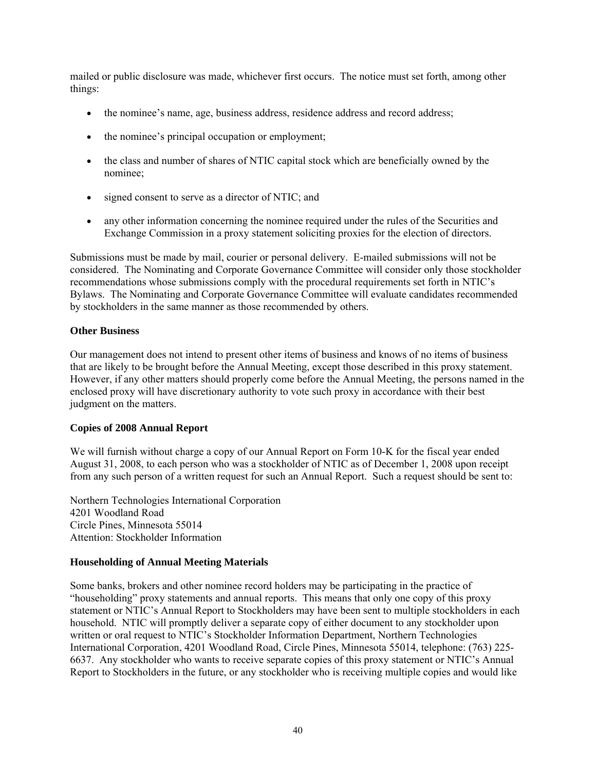mailed or public disclosure was made, whichever first occurs. The notice must set forth, among other things:

- the nominee's name, age, business address, residence address and record address;
- the nominee's principal occupation or employment;
- the class and number of shares of NTIC capital stock which are beneficially owned by the nominee;
- signed consent to serve as a director of NTIC; and
- any other information concerning the nominee required under the rules of the Securities and Exchange Commission in a proxy statement soliciting proxies for the election of directors.

Submissions must be made by mail, courier or personal delivery. E-mailed submissions will not be considered. The Nominating and Corporate Governance Committee will consider only those stockholder recommendations whose submissions comply with the procedural requirements set forth in NTIC's Bylaws. The Nominating and Corporate Governance Committee will evaluate candidates recommended by stockholders in the same manner as those recommended by others.

## **Other Business**

Our management does not intend to present other items of business and knows of no items of business that are likely to be brought before the Annual Meeting, except those described in this proxy statement. However, if any other matters should properly come before the Annual Meeting, the persons named in the enclosed proxy will have discretionary authority to vote such proxy in accordance with their best judgment on the matters.

## **Copies of 2008 Annual Report**

We will furnish without charge a copy of our Annual Report on Form 10-K for the fiscal year ended August 31, 2008, to each person who was a stockholder of NTIC as of December 1, 2008 upon receipt from any such person of a written request for such an Annual Report. Such a request should be sent to:

Northern Technologies International Corporation 4201 Woodland Road Circle Pines, Minnesota 55014 Attention: Stockholder Information

# **Householding of Annual Meeting Materials**

Some banks, brokers and other nominee record holders may be participating in the practice of "householding" proxy statements and annual reports. This means that only one copy of this proxy statement or NTIC's Annual Report to Stockholders may have been sent to multiple stockholders in each household. NTIC will promptly deliver a separate copy of either document to any stockholder upon written or oral request to NTIC's Stockholder Information Department, Northern Technologies International Corporation, 4201 Woodland Road, Circle Pines, Minnesota 55014, telephone: (763) 225- 6637. Any stockholder who wants to receive separate copies of this proxy statement or NTIC's Annual Report to Stockholders in the future, or any stockholder who is receiving multiple copies and would like